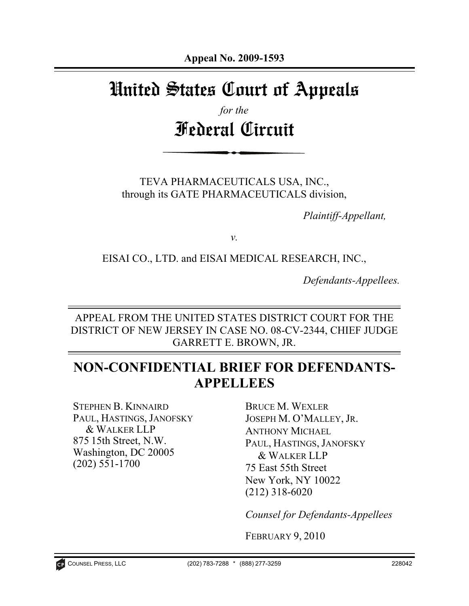# United States Court of Appeals

*for the*  Federal Circuit

TEVA PHARMACEUTICALS USA, INC., through its GATE PHARMACEUTICALS division,

*Plaintiff-Appellant,* 

*v.* 

EISAI CO., LTD. and EISAI MEDICAL RESEARCH, INC.,

*Defendants-Appellees.* 

APPEAL FROM THE UNITED STATES DISTRICT COURT FOR THE DISTRICT OF NEW JERSEY IN CASE NO. 08-CV-2344, CHIEF JUDGE GARRETT E. BROWN, JR.

# **NON-CONFIDENTIAL BRIEF FOR DEFENDANTS-APPELLEES**

STEPHEN B. KINNAIRD PAUL, HASTINGS, JANOFSKY & WALKER LLP 875 15th Street, N.W. Washington, DC 20005 (202) 551-1700

BRUCE M. WEXLER JOSEPH M. O'MALLEY, JR. ANTHONY MICHAEL PAUL, HASTINGS, JANOFSKY & WALKER LLP 75 East 55th Street New York, NY 10022 (212) 318-6020

*Counsel for Defendants-Appellees*

FEBRUARY 9, 2010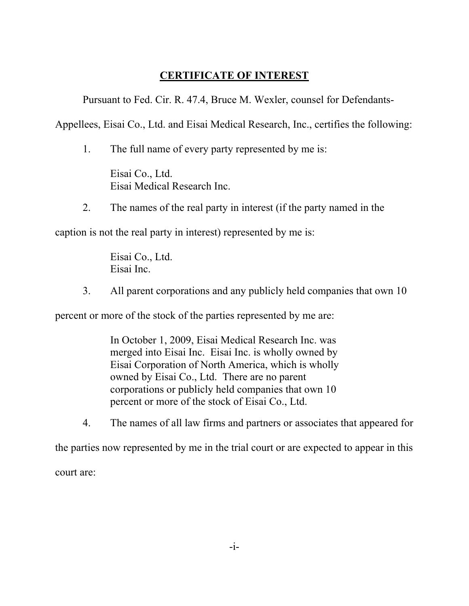# **CERTIFICATE OF INTEREST**

Pursuant to Fed. Cir. R. 47.4, Bruce M. Wexler, counsel for Defendants-

Appellees, Eisai Co., Ltd. and Eisai Medical Research, Inc., certifies the following:

1. The full name of every party represented by me is:

Eisai Co., Ltd. Eisai Medical Research Inc.

2. The names of the real party in interest (if the party named in the

caption is not the real party in interest) represented by me is:

Eisai Co., Ltd. Eisai Inc.

3. All parent corporations and any publicly held companies that own 10

percent or more of the stock of the parties represented by me are:

In October 1, 2009, Eisai Medical Research Inc. was merged into Eisai Inc. Eisai Inc. is wholly owned by Eisai Corporation of North America, which is wholly owned by Eisai Co., Ltd. There are no parent corporations or publicly held companies that own 10 percent or more of the stock of Eisai Co., Ltd.

4. The names of all law firms and partners or associates that appeared for

the parties now represented by me in the trial court or are expected to appear in this court are: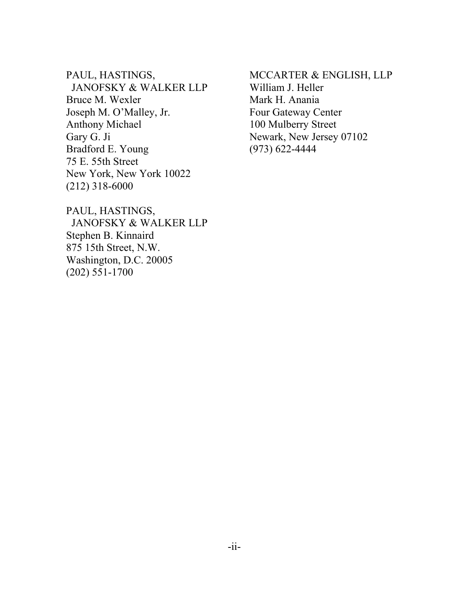PAUL, HASTINGS, JANOFSKY & WALKER LLP Bruce M. Wexler Joseph M. O'Malley, Jr. Anthony Michael Gary G. Ji Bradford E. Young 75 E. 55th Street New York, New York 10022 (212) 318-6000

MCCARTER & ENGLISH, LLP William J. Heller Mark H. Anania Four Gateway Center 100 Mulberry Street Newark, New Jersey 07102 (973) 622-4444

PAUL, HASTINGS, JANOFSKY & WALKER LLP Stephen B. Kinnaird 875 15th Street, N.W. Washington, D.C. 20005 (202) 551-1700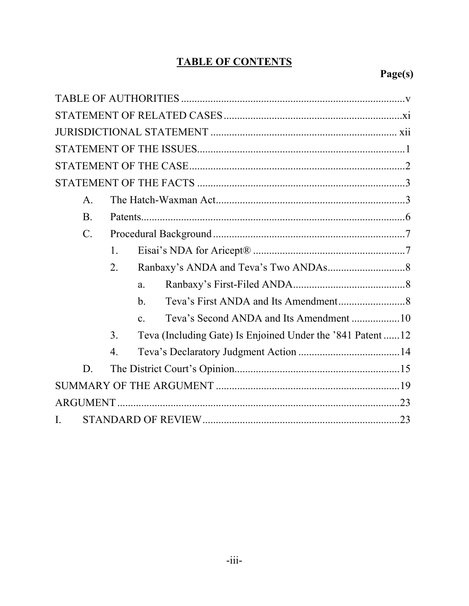# **TABLE OF CONTENTS**

# Page(s)

| $\mathsf{A}$ .  |                  |                |                                                           |  |
|-----------------|------------------|----------------|-----------------------------------------------------------|--|
| B.              |                  |                |                                                           |  |
| $\mathcal{C}$ . |                  |                |                                                           |  |
|                 | $\mathbf{1}$ .   |                |                                                           |  |
|                 | 2.               |                |                                                           |  |
|                 |                  | $\mathbf{a}$ . |                                                           |  |
|                 |                  | $\mathbf{b}$ . |                                                           |  |
|                 |                  | $\mathbf{c}$ . |                                                           |  |
|                 | 3 <sub>1</sub>   |                | Teva (Including Gate) Is Enjoined Under the '841 Patent12 |  |
|                 | $\overline{4}$ . |                |                                                           |  |
| D.              |                  |                |                                                           |  |
|                 |                  |                |                                                           |  |
|                 |                  |                |                                                           |  |
| L               |                  |                |                                                           |  |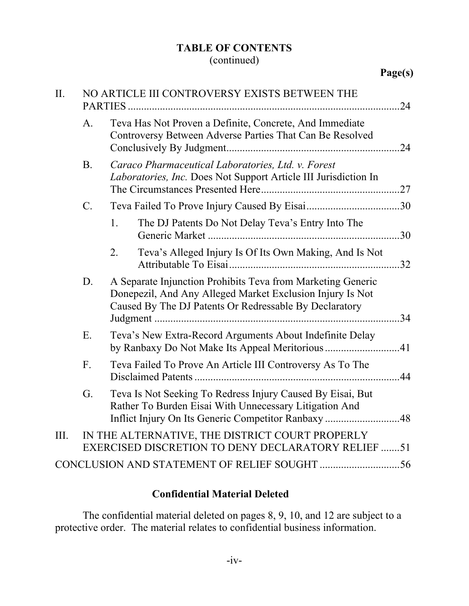# **TABLE OF CONTENTS**

# (continued)

| II.  | NO ARTICLE III CONTROVERSY EXISTS BETWEEN THE |                                                                                                                                                                                    |     |  |
|------|-----------------------------------------------|------------------------------------------------------------------------------------------------------------------------------------------------------------------------------------|-----|--|
|      | A <sub>1</sub>                                | Teva Has Not Proven a Definite, Concrete, And Immediate<br>Controversy Between Adverse Parties That Can Be Resolved                                                                |     |  |
|      | <b>B</b> .                                    | Caraco Pharmaceutical Laboratories, Ltd. v. Forest<br>Laboratories, Inc. Does Not Support Article III Jurisdiction In                                                              |     |  |
|      | $\mathbf{C}$ .                                |                                                                                                                                                                                    |     |  |
|      |                                               | $1_{-}$<br>The DJ Patents Do Not Delay Teva's Entry Into The                                                                                                                       | .30 |  |
|      |                                               | Teva's Alleged Injury Is Of Its Own Making, And Is Not<br>2.                                                                                                                       | .32 |  |
|      | D.                                            | A Separate Injunction Prohibits Teva from Marketing Generic<br>Donepezil, And Any Alleged Market Exclusion Injury Is Not<br>Caused By The DJ Patents Or Redressable By Declaratory |     |  |
|      | E.                                            | Teva's New Extra-Record Arguments About Indefinite Delay<br>by Ranbaxy Do Not Make Its Appeal Meritorious 41                                                                       |     |  |
|      | F.                                            | Teva Failed To Prove An Article III Controversy As To The                                                                                                                          | 44  |  |
|      | G.                                            | Teva Is Not Seeking To Redress Injury Caused By Eisai, But<br>Rather To Burden Eisai With Unnecessary Litigation And                                                               |     |  |
| III. |                                               | IN THE ALTERNATIVE, THE DISTRICT COURT PROPERLY<br>EXERCISED DISCRETION TO DENY DECLARATORY RELIEF 51                                                                              |     |  |
|      |                                               |                                                                                                                                                                                    |     |  |

# **Confidential Material Deleted**

 The confidential material deleted on pages 8, 9, 10, and 12 are subject to a protective order. The material relates to confidential business information.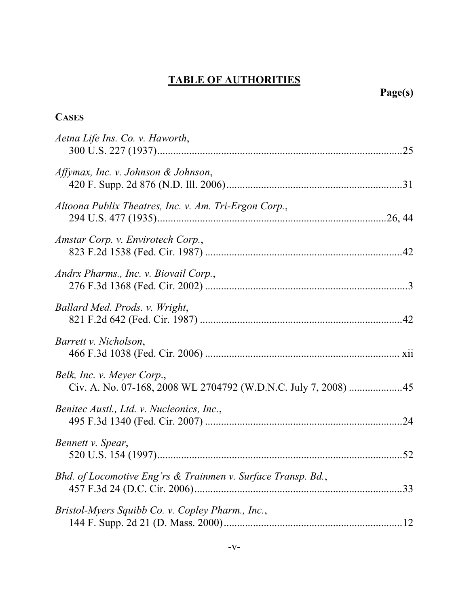| <b>CASES</b>                                                                                 |  |
|----------------------------------------------------------------------------------------------|--|
| Aetna Life Ins. Co. v. Haworth,                                                              |  |
| Affymax, Inc. v. Johnson & Johnson,                                                          |  |
| Altoona Publix Theatres, Inc. v. Am. Tri-Ergon Corp.,                                        |  |
| Amstar Corp. v. Envirotech Corp.,                                                            |  |
| Andrx Pharms., Inc. v. Biovail Corp.,                                                        |  |
| Ballard Med. Prods. v. Wright,                                                               |  |
| <i>Barrett v. Nicholson,</i>                                                                 |  |
| Belk, Inc. v. Meyer Corp.,<br>Civ. A. No. 07-168, 2008 WL 2704792 (W.D.N.C. July 7, 2008) 45 |  |
| Benitec Austl., Ltd. v. Nucleonics, Inc.,                                                    |  |
| Bennett v. Spear,                                                                            |  |
| Bhd. of Locomotive Eng'rs & Trainmen v. Surface Transp. Bd.,                                 |  |
| Bristol-Myers Squibb Co. v. Copley Pharm., Inc.,                                             |  |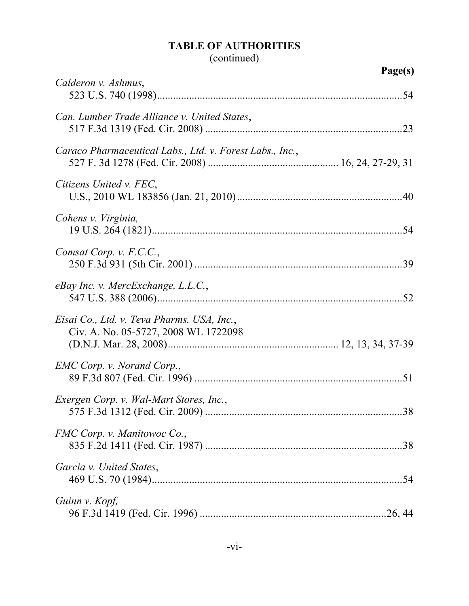# (continued)

| Calderon v. Ashmus,                                                                |     |
|------------------------------------------------------------------------------------|-----|
| Can. Lumber Trade Alliance v. United States,                                       |     |
| Caraco Pharmaceutical Labs., Ltd. v. Forest Labs., Inc.,                           |     |
| Citizens United v. FEC,                                                            |     |
| Cohens v. Virginia,                                                                |     |
| Comsat Corp. v. F.C.C.,                                                            |     |
| eBay Inc. v. MercExchange, L.L.C.,                                                 |     |
| Eisai Co., Ltd. v. Teva Pharms. USA, Inc.,<br>Civ. A. No. 05-5727, 2008 WL 1722098 |     |
| EMC Corp. v. Norand Corp.,                                                         |     |
| Exergen Corp. v. Wal-Mart Stores, Inc.,                                            |     |
| FMC Corp. v. Manitowoc Co.,                                                        | .38 |
| Garcia v. United States,                                                           |     |
| Guinn v. Kopf,                                                                     |     |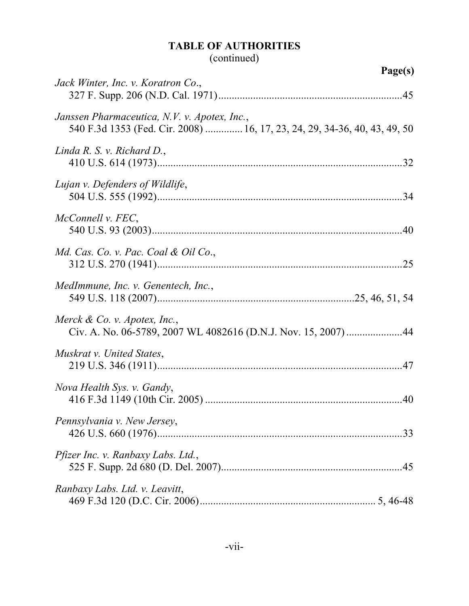# (continued)

|                                                                                                                           | Page(s) |
|---------------------------------------------------------------------------------------------------------------------------|---------|
| Jack Winter, Inc. v. Koratron Co.,                                                                                        |         |
| Janssen Pharmaceutica, N.V. v. Apotex, Inc.,<br>540 F.3d 1353 (Fed. Cir. 2008)  16, 17, 23, 24, 29, 34-36, 40, 43, 49, 50 |         |
| Linda R. S. v. Richard D.,                                                                                                |         |
| Lujan v. Defenders of Wildlife,                                                                                           |         |
| McConnell v. FEC,                                                                                                         |         |
| Md. Cas. Co. v. Pac. Coal & Oil Co.,                                                                                      |         |
| MedImmune, Inc. v. Genentech, Inc.,                                                                                       |         |
| Merck $\&$ Co. v. Apotex, Inc.,<br>Civ. A. No. 06-5789, 2007 WL 4082616 (D.N.J. Nov. 15, 2007) 44                         |         |
| Muskrat v. United States,                                                                                                 |         |
| Nova Health Sys. v. Gandy,                                                                                                |         |
| Pennsylvania v. New Jersey,                                                                                               | .33     |
| <i>Pfizer Inc. v. Ranbaxy Labs. Ltd.,</i>                                                                                 |         |
| Ranbaxy Labs. Ltd. v. Leavitt,                                                                                            |         |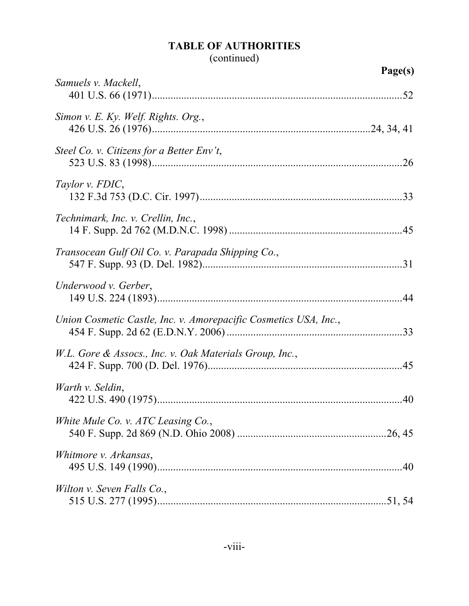# (continued)

|                                                                  | Page(s) |
|------------------------------------------------------------------|---------|
| Samuels v. Mackell,                                              |         |
| Simon v. E. Ky. Welf. Rights. Org.,                              |         |
| Steel Co. v. Citizens for a Better Env't,                        |         |
| Taylor v. FDIC,                                                  |         |
| Technimark, Inc. v. Crellin, Inc.,                               |         |
| Transocean Gulf Oil Co. v. Parapada Shipping Co.,                |         |
| Underwood v. Gerber,                                             |         |
| Union Cosmetic Castle, Inc. v. Amorepacific Cosmetics USA, Inc., | .33     |
| W.L. Gore & Assocs., Inc. v. Oak Materials Group, Inc.,          |         |
| Warth v. Seldin,                                                 |         |
| White Mule Co. v. ATC Leasing Co.,                               |         |
| Whitmore v. Arkansas,                                            |         |
| Wilton v. Seven Falls Co.,                                       |         |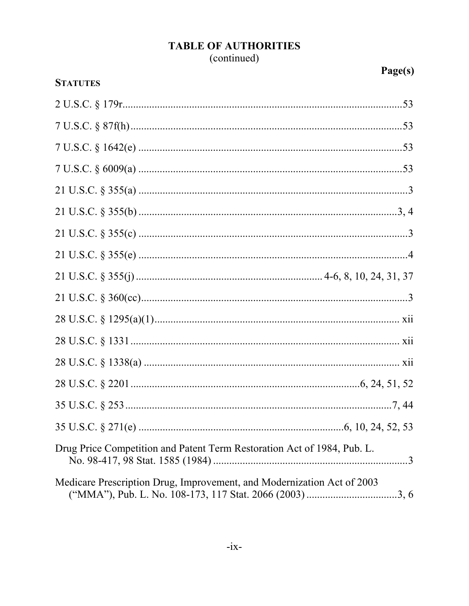# **TABLE OF AUTHORITIES** (continued)

| <b>STATUTES</b>                                                         |  |
|-------------------------------------------------------------------------|--|
|                                                                         |  |
|                                                                         |  |
|                                                                         |  |
|                                                                         |  |
|                                                                         |  |
|                                                                         |  |
|                                                                         |  |
|                                                                         |  |
|                                                                         |  |
|                                                                         |  |
|                                                                         |  |
|                                                                         |  |
|                                                                         |  |
|                                                                         |  |
|                                                                         |  |
|                                                                         |  |
| Drug Price Competition and Patent Term Restoration Act of 1984, Pub. L. |  |
| Medicare Prescription Drug, Improvement, and Modernization Act of 2003  |  |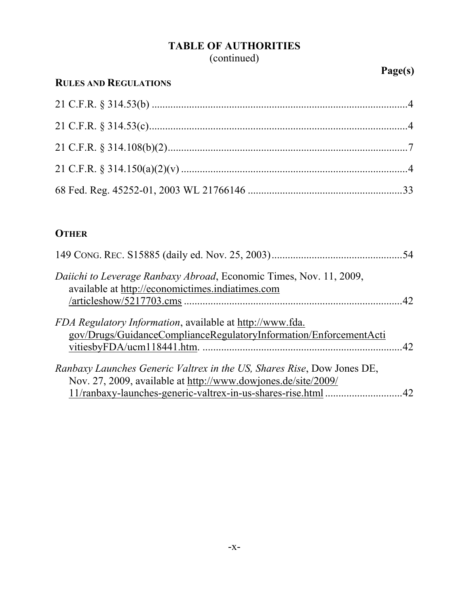## **TABLE OF AUTHORITIES** (continued)

# **RULES AND REGULATIONS**

# **OTHER**

| Daiichi to Leverage Ranbaxy Abroad, Economic Times, Nov. 11, 2009,<br>available at http://economictimes.indiatimes.com                  | .42 |
|-----------------------------------------------------------------------------------------------------------------------------------------|-----|
| <i>FDA Regulatory Information</i> , available at http://www.fda.<br>gov/Drugs/GuidanceComplianceRegulatoryInformation/EnforcementActi   |     |
| Ranbaxy Launches Generic Valtrex in the US, Shares Rise, Dow Jones DE,<br>Nov. 27, 2009, available at http://www.dowjones.de/site/2009/ |     |
|                                                                                                                                         | 42  |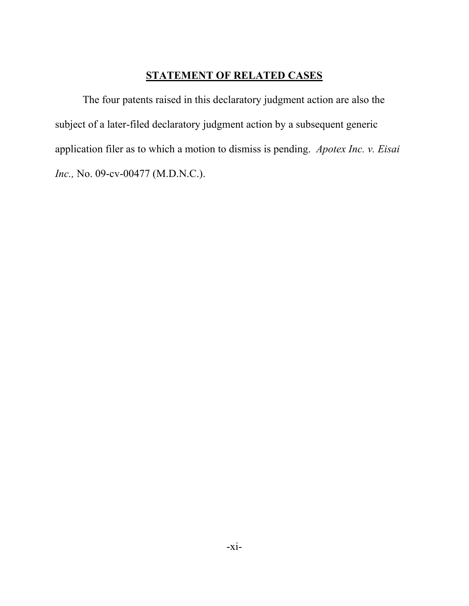## **STATEMENT OF RELATED CASES**

The four patents raised in this declaratory judgment action are also the subject of a later-filed declaratory judgment action by a subsequent generic application filer as to which a motion to dismiss is pending. *Apotex Inc. v. Eisai Inc.,* No. 09-cv-00477 (M.D.N.C.).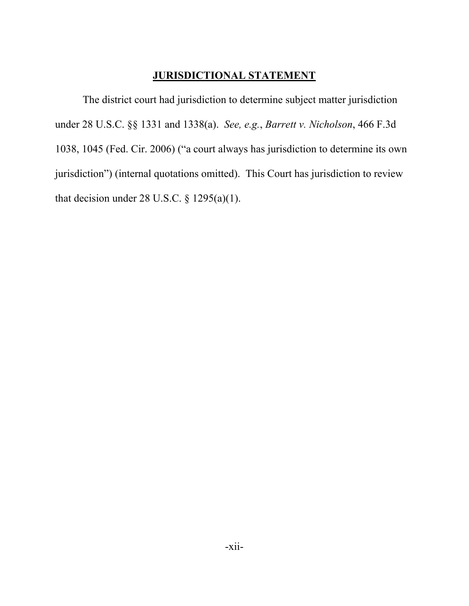### **JURISDICTIONAL STATEMENT**

The district court had jurisdiction to determine subject matter jurisdiction under 28 U.S.C. §§ 1331 and 1338(a). *See, e.g.*, *Barrett v. Nicholson*, 466 F.3d 1038, 1045 (Fed. Cir. 2006) ("a court always has jurisdiction to determine its own jurisdiction") (internal quotations omitted). This Court has jurisdiction to review that decision under 28 U.S.C.  $\S$  1295(a)(1).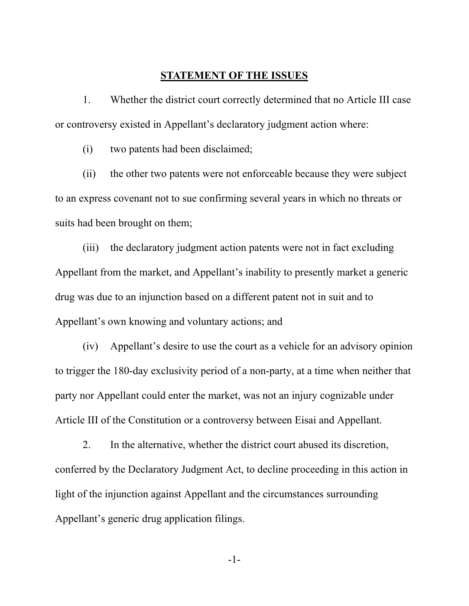#### **STATEMENT OF THE ISSUES**

1. Whether the district court correctly determined that no Article III case or controversy existed in Appellant's declaratory judgment action where:

(i) two patents had been disclaimed;

(ii) the other two patents were not enforceable because they were subject to an express covenant not to sue confirming several years in which no threats or suits had been brought on them;

(iii) the declaratory judgment action patents were not in fact excluding Appellant from the market, and Appellant's inability to presently market a generic drug was due to an injunction based on a different patent not in suit and to Appellant's own knowing and voluntary actions; and

(iv) Appellant's desire to use the court as a vehicle for an advisory opinion to trigger the 180-day exclusivity period of a non-party, at a time when neither that party nor Appellant could enter the market, was not an injury cognizable under Article III of the Constitution or a controversy between Eisai and Appellant.

2. In the alternative, whether the district court abused its discretion, conferred by the Declaratory Judgment Act, to decline proceeding in this action in light of the injunction against Appellant and the circumstances surrounding Appellant's generic drug application filings.

-1-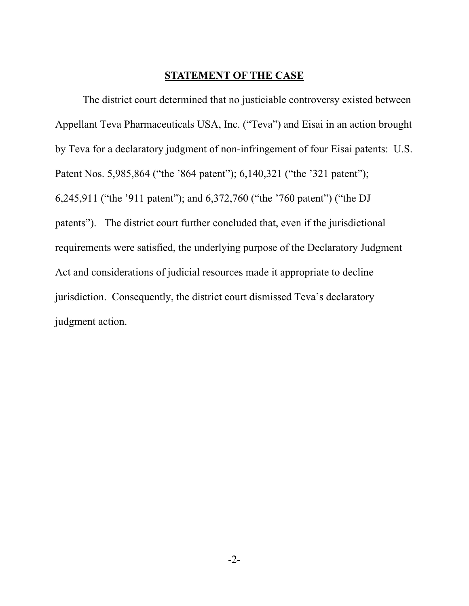#### **STATEMENT OF THE CASE**

The district court determined that no justiciable controversy existed between Appellant Teva Pharmaceuticals USA, Inc. ("Teva") and Eisai in an action brought by Teva for a declaratory judgment of non-infringement of four Eisai patents: U.S. Patent Nos. 5,985,864 ("the '864 patent"); 6,140,321 ("the '321 patent"); 6,245,911 ("the '911 patent"); and 6,372,760 ("the '760 patent") ("the DJ patents"). The district court further concluded that, even if the jurisdictional requirements were satisfied, the underlying purpose of the Declaratory Judgment Act and considerations of judicial resources made it appropriate to decline jurisdiction. Consequently, the district court dismissed Teva's declaratory judgment action.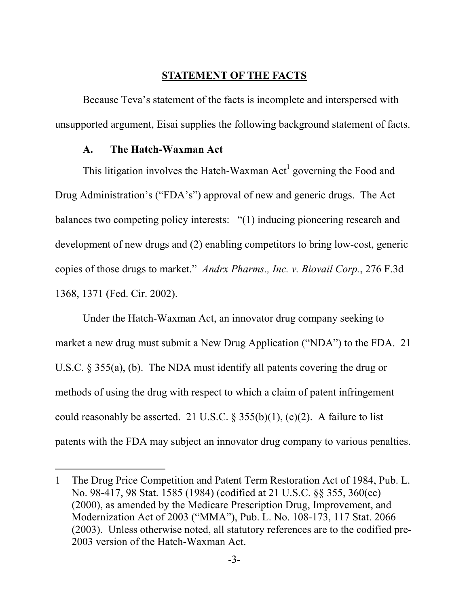### **STATEMENT OF THE FACTS**

Because Teva's statement of the facts is incomplete and interspersed with unsupported argument, Eisai supplies the following background statement of facts.

#### **A. The Hatch-Waxman Act**

 $\overline{a}$ 

This litigation involves the Hatch-Waxman  $Act<sup>1</sup>$  governing the Food and Drug Administration's ("FDA's") approval of new and generic drugs. The Act balances two competing policy interests: "(1) inducing pioneering research and development of new drugs and (2) enabling competitors to bring low-cost, generic copies of those drugs to market." *Andrx Pharms., Inc. v. Biovail Corp.*, 276 F.3d 1368, 1371 (Fed. Cir. 2002).

Under the Hatch-Waxman Act, an innovator drug company seeking to market a new drug must submit a New Drug Application ("NDA") to the FDA. 21 U.S.C. § 355(a), (b). The NDA must identify all patents covering the drug or methods of using the drug with respect to which a claim of patent infringement could reasonably be asserted. 21 U.S.C.  $\S 355(b)(1)$ , (c)(2). A failure to list patents with the FDA may subject an innovator drug company to various penalties.

<sup>1</sup> The Drug Price Competition and Patent Term Restoration Act of 1984, Pub. L. No. 98-417, 98 Stat. 1585 (1984) (codified at 21 U.S.C. §§ 355, 360(cc) (2000), as amended by the Medicare Prescription Drug, Improvement, and Modernization Act of 2003 ("MMA"), Pub. L. No. 108-173, 117 Stat. 2066 (2003). Unless otherwise noted, all statutory references are to the codified pre-2003 version of the Hatch-Waxman Act.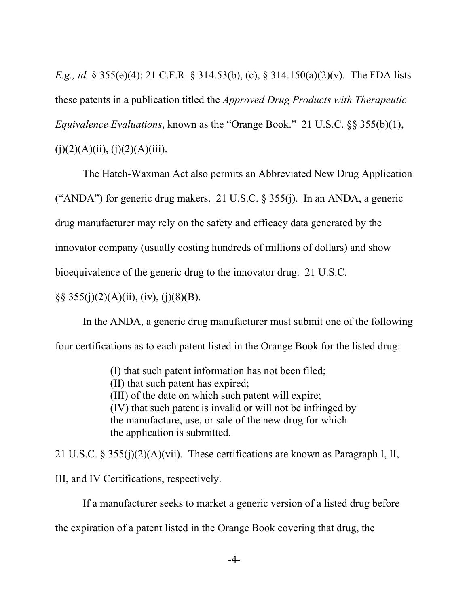*E.g., id.* § 355(e)(4); 21 C.F.R. § 314.53(b), (c), § 314.150(a)(2)(v). The FDA lists these patents in a publication titled the *Approved Drug Products with Therapeutic Equivalence Evaluations*, known as the "Orange Book." 21 U.S.C. §§ 355(b)(1),  $(j)(2)(A)(ii)$ ,  $(j)(2)(A)(iii)$ .

The Hatch-Waxman Act also permits an Abbreviated New Drug Application ("ANDA") for generic drug makers. 21 U.S.C. § 355(j). In an ANDA, a generic drug manufacturer may rely on the safety and efficacy data generated by the innovator company (usually costing hundreds of millions of dollars) and show bioequivalence of the generic drug to the innovator drug. 21 U.S.C.

 $\S\S 355(j)(2)(A)(ii)$ , (iv), (j)(8)(B).

In the ANDA, a generic drug manufacturer must submit one of the following four certifications as to each patent listed in the Orange Book for the listed drug:

> (I) that such patent information has not been filed; (II) that such patent has expired; (III) of the date on which such patent will expire; (IV) that such patent is invalid or will not be infringed by the manufacture, use, or sale of the new drug for which the application is submitted.

21 U.S.C. § 355(j)(2)(A)(vii). These certifications are known as Paragraph I, II, III, and IV Certifications, respectively.

If a manufacturer seeks to market a generic version of a listed drug before the expiration of a patent listed in the Orange Book covering that drug, the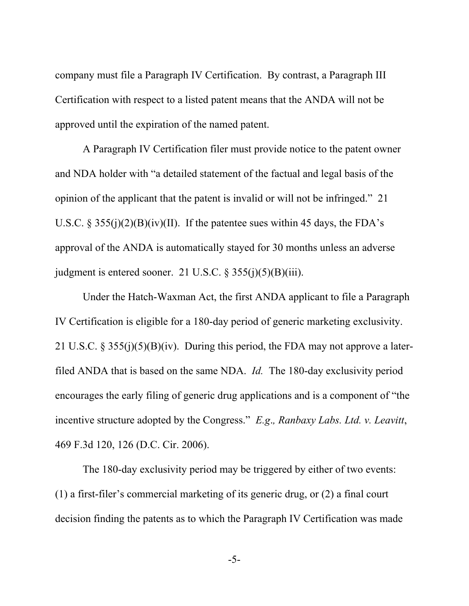company must file a Paragraph IV Certification. By contrast, a Paragraph III Certification with respect to a listed patent means that the ANDA will not be approved until the expiration of the named patent.

A Paragraph IV Certification filer must provide notice to the patent owner and NDA holder with "a detailed statement of the factual and legal basis of the opinion of the applicant that the patent is invalid or will not be infringed." 21 U.S.C.  $\S 355(i)(2)(B)(iv)(II)$ . If the patentee sues within 45 days, the FDA's approval of the ANDA is automatically stayed for 30 months unless an adverse judgment is entered sooner. 21 U.S.C. § 355(j)(5)(B)(iii).

Under the Hatch-Waxman Act, the first ANDA applicant to file a Paragraph IV Certification is eligible for a 180-day period of generic marketing exclusivity. 21 U.S.C. § 355(j)(5)(B)(iv). During this period, the FDA may not approve a laterfiled ANDA that is based on the same NDA. *Id.* The 180-day exclusivity period encourages the early filing of generic drug applications and is a component of "the incentive structure adopted by the Congress." *E.g*.*, Ranbaxy Labs. Ltd. v. Leavitt*, 469 F.3d 120, 126 (D.C. Cir. 2006).

The 180-day exclusivity period may be triggered by either of two events: (1) a first-filer's commercial marketing of its generic drug, or (2) a final court decision finding the patents as to which the Paragraph IV Certification was made

-5-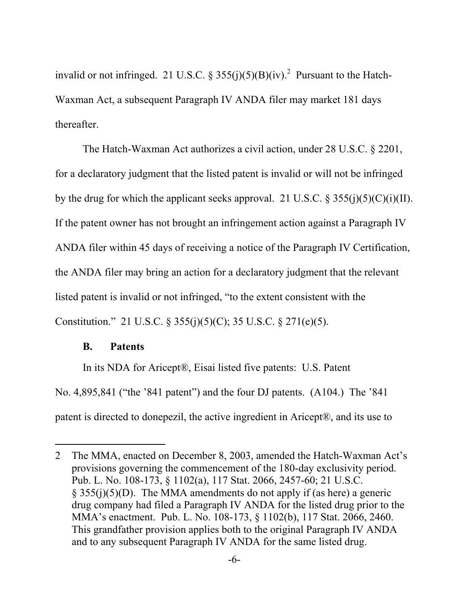invalid or not infringed. 21 U.S.C. § 355(j)(5)(B)(iv).<sup>2</sup> Pursuant to the Hatch-Waxman Act, a subsequent Paragraph IV ANDA filer may market 181 days thereafter.

The Hatch-Waxman Act authorizes a civil action, under 28 U.S.C. § 2201, for a declaratory judgment that the listed patent is invalid or will not be infringed by the drug for which the applicant seeks approval. 21 U.S.C.  $\S 355(j)(5)(C)(i)(II)$ . If the patent owner has not brought an infringement action against a Paragraph IV ANDA filer within 45 days of receiving a notice of the Paragraph IV Certification, the ANDA filer may bring an action for a declaratory judgment that the relevant listed patent is invalid or not infringed, "to the extent consistent with the Constitution." 21 U.S.C. § 355(j)(5)(C); 35 U.S.C. § 271(e)(5).

### **B. Patents**

 $\overline{a}$ 

In its NDA for Aricept®, Eisai listed five patents: U.S. Patent No. 4,895,841 ("the '841 patent") and the four DJ patents. (A104.) The '841 patent is directed to donepezil, the active ingredient in Aricept®, and its use to

<sup>2</sup> The MMA, enacted on December 8, 2003, amended the Hatch-Waxman Act's provisions governing the commencement of the 180-day exclusivity period. Pub. L. No. 108-173, § 1102(a), 117 Stat. 2066, 2457-60; 21 U.S.C. § 355(j)(5)(D). The MMA amendments do not apply if (as here) a generic drug company had filed a Paragraph IV ANDA for the listed drug prior to the MMA's enactment. Pub. L. No. 108-173, § 1102(b), 117 Stat. 2066, 2460. This grandfather provision applies both to the original Paragraph IV ANDA and to any subsequent Paragraph IV ANDA for the same listed drug.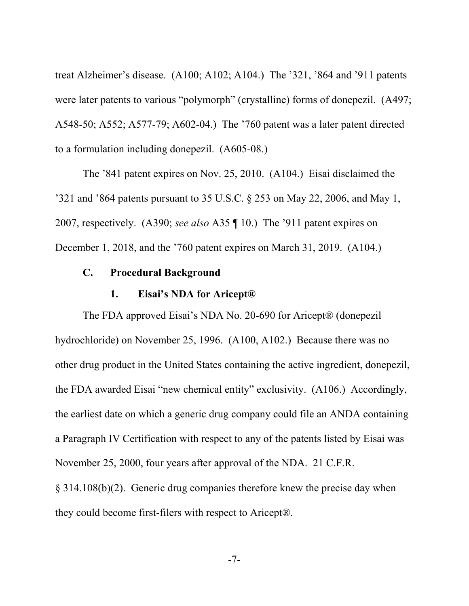treat Alzheimer's disease. (A100; A102; A104.) The '321, '864 and '911 patents were later patents to various "polymorph" (crystalline) forms of donepezil. (A497; A548-50; A552; A577-79; A602-04.) The '760 patent was a later patent directed to a formulation including donepezil. (A605-08.)

The '841 patent expires on Nov. 25, 2010. (A104.) Eisai disclaimed the '321 and '864 patents pursuant to 35 U.S.C. § 253 on May 22, 2006, and May 1, 2007, respectively. (A390; *see also* A35 ¶ 10.) The '911 patent expires on December 1, 2018, and the '760 patent expires on March 31, 2019. (A104.)

### **C. Procedural Background**

#### **1. Eisai's NDA for Aricept®**

The FDA approved Eisai's NDA No. 20-690 for Aricept® (donepezil hydrochloride) on November 25, 1996. (A100, A102.) Because there was no other drug product in the United States containing the active ingredient, donepezil, the FDA awarded Eisai "new chemical entity" exclusivity. (A106.) Accordingly, the earliest date on which a generic drug company could file an ANDA containing a Paragraph IV Certification with respect to any of the patents listed by Eisai was November 25, 2000, four years after approval of the NDA. 21 C.F.R. § 314.108(b)(2). Generic drug companies therefore knew the precise day when

they could become first-filers with respect to Aricept®.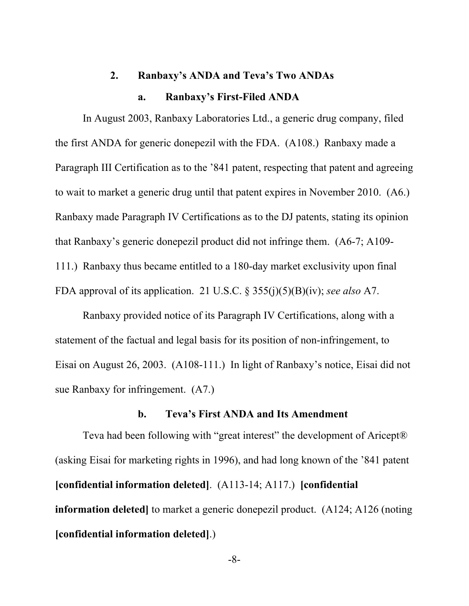# **2. Ranbaxy's ANDA and Teva's Two ANDAs**

### **a. Ranbaxy's First-Filed ANDA**

In August 2003, Ranbaxy Laboratories Ltd., a generic drug company, filed the first ANDA for generic donepezil with the FDA. (A108.) Ranbaxy made a Paragraph III Certification as to the '841 patent, respecting that patent and agreeing to wait to market a generic drug until that patent expires in November 2010. (A6.) Ranbaxy made Paragraph IV Certifications as to the DJ patents, stating its opinion that Ranbaxy's generic donepezil product did not infringe them. (A6-7; A109- 111.) Ranbaxy thus became entitled to a 180-day market exclusivity upon final FDA approval of its application. 21 U.S.C. § 355(j)(5)(B)(iv); *see also* A7.

Ranbaxy provided notice of its Paragraph IV Certifications, along with a statement of the factual and legal basis for its position of non-infringement, to Eisai on August 26, 2003. (A108-111.) In light of Ranbaxy's notice, Eisai did not sue Ranbaxy for infringement. (A7.)

#### **b. Teva's First ANDA and Its Amendment**

Teva had been following with "great interest" the development of Aricept® (asking Eisai for marketing rights in 1996), and had long known of the '841 patent **[confidential information deleted]**. (A113-14; A117.) **[confidential information deleted**] to market a generic donepezil product. (A124; A126 (noting **[confidential information deleted]**.)

-8-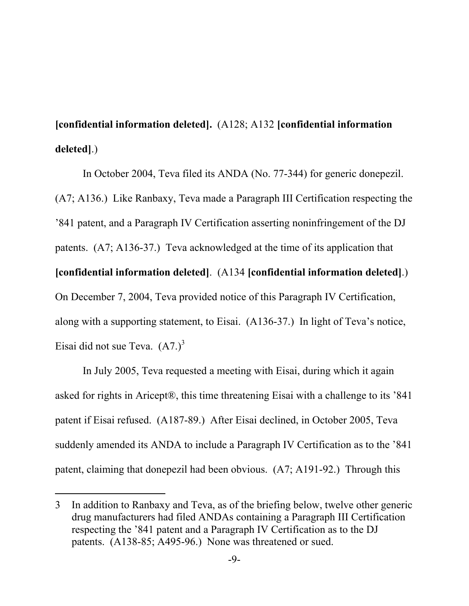**[confidential information deleted].** (A128; A132 **[confidential information deleted]**.)

In October 2004, Teva filed its ANDA (No. 77-344) for generic donepezil. (A7; A136.) Like Ranbaxy, Teva made a Paragraph III Certification respecting the '841 patent, and a Paragraph IV Certification asserting noninfringement of the DJ patents. (A7; A136-37.) Teva acknowledged at the time of its application that **[confidential information deleted]**. (A134 **[confidential information deleted]**.) On December 7, 2004, Teva provided notice of this Paragraph IV Certification, along with a supporting statement, to Eisai. (A136-37.) In light of Teva's notice, Eisai did not sue Teva.  $(A7.)^3$ 

In July 2005, Teva requested a meeting with Eisai, during which it again asked for rights in Aricept®, this time threatening Eisai with a challenge to its '841 patent if Eisai refused. (A187-89.) After Eisai declined, in October 2005, Teva suddenly amended its ANDA to include a Paragraph IV Certification as to the '841 patent, claiming that donepezil had been obvious. (A7; A191-92.) Through this

-

<sup>3</sup> In addition to Ranbaxy and Teva, as of the briefing below, twelve other generic drug manufacturers had filed ANDAs containing a Paragraph III Certification respecting the '841 patent and a Paragraph IV Certification as to the DJ patents. (A138-85; A495-96.) None was threatened or sued.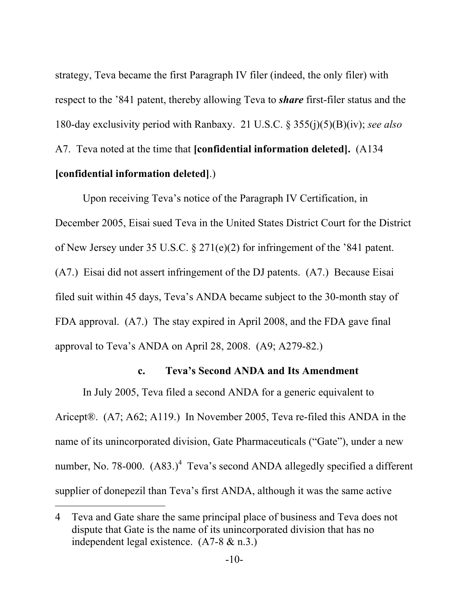strategy, Teva became the first Paragraph IV filer (indeed, the only filer) with respect to the '841 patent, thereby allowing Teva to *share* first-filer status and the 180-day exclusivity period with Ranbaxy. 21 U.S.C. § 355(j)(5)(B)(iv); *see also* A7. Teva noted at the time that **[confidential information deleted].** (A134 **[confidential information deleted]**.)

Upon receiving Teva's notice of the Paragraph IV Certification, in December 2005, Eisai sued Teva in the United States District Court for the District of New Jersey under 35 U.S.C. § 271(e)(2) for infringement of the '841 patent. (A7.) Eisai did not assert infringement of the DJ patents. (A7.) Because Eisai filed suit within 45 days, Teva's ANDA became subject to the 30-month stay of FDA approval. (A7.) The stay expired in April 2008, and the FDA gave final approval to Teva's ANDA on April 28, 2008. (A9; A279-82.)

### **c. Teva's Second ANDA and Its Amendment**

In July 2005, Teva filed a second ANDA for a generic equivalent to Aricept®. (A7; A62; A119.) In November 2005, Teva re-filed this ANDA in the name of its unincorporated division, Gate Pharmaceuticals ("Gate"), under a new number, No. 78-000.  $(A83.)^4$  Teva's second ANDA allegedly specified a different supplier of donepezil than Teva's first ANDA, although it was the same active

l

<sup>4</sup> Teva and Gate share the same principal place of business and Teva does not dispute that Gate is the name of its unincorporated division that has no independent legal existence. (A7-8 & n.3.)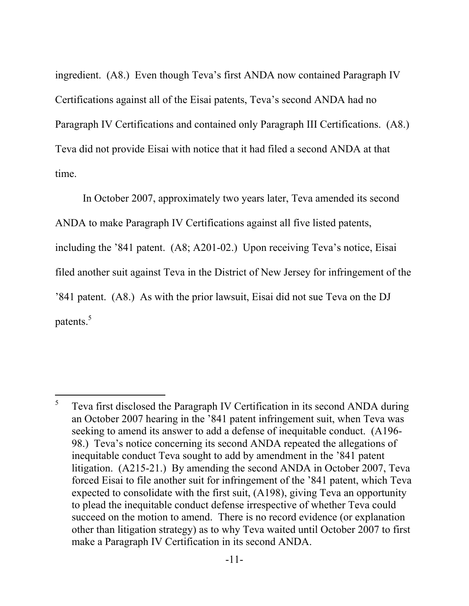ingredient. (A8.) Even though Teva's first ANDA now contained Paragraph IV Certifications against all of the Eisai patents, Teva's second ANDA had no Paragraph IV Certifications and contained only Paragraph III Certifications. (A8.) Teva did not provide Eisai with notice that it had filed a second ANDA at that time.

In October 2007, approximately two years later, Teva amended its second ANDA to make Paragraph IV Certifications against all five listed patents, including the '841 patent. (A8; A201-02.) Upon receiving Teva's notice, Eisai filed another suit against Teva in the District of New Jersey for infringement of the '841 patent. (A8.) As with the prior lawsuit, Eisai did not sue Teva on the DJ patents.<sup>5</sup>

 $\overline{a}$ 

<sup>5</sup> Teva first disclosed the Paragraph IV Certification in its second ANDA during an October 2007 hearing in the '841 patent infringement suit, when Teva was seeking to amend its answer to add a defense of inequitable conduct. (A196- 98.) Teva's notice concerning its second ANDA repeated the allegations of inequitable conduct Teva sought to add by amendment in the '841 patent litigation. (A215-21.) By amending the second ANDA in October 2007, Teva forced Eisai to file another suit for infringement of the '841 patent, which Teva expected to consolidate with the first suit, (A198), giving Teva an opportunity to plead the inequitable conduct defense irrespective of whether Teva could succeed on the motion to amend. There is no record evidence (or explanation other than litigation strategy) as to why Teva waited until October 2007 to first make a Paragraph IV Certification in its second ANDA.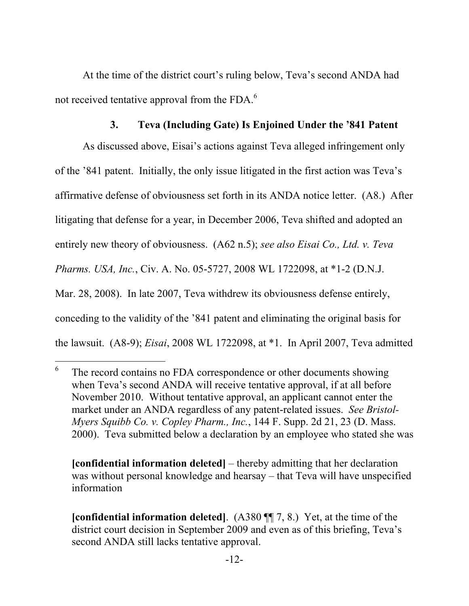At the time of the district court's ruling below, Teva's second ANDA had not received tentative approval from the FDA.<sup>6</sup>

### **3. Teva (Including Gate) Is Enjoined Under the '841 Patent**

As discussed above, Eisai's actions against Teva alleged infringement only of the '841 patent. Initially, the only issue litigated in the first action was Teva's affirmative defense of obviousness set forth in its ANDA notice letter. (A8.) After litigating that defense for a year, in December 2006, Teva shifted and adopted an entirely new theory of obviousness. (A62 n.5); *see also Eisai Co., Ltd. v. Teva Pharms. USA, Inc.*, Civ. A. No. 05-5727, 2008 WL 1722098, at \*1-2 (D.N.J. Mar. 28, 2008). In late 2007, Teva withdrew its obviousness defense entirely, conceding to the validity of the '841 patent and eliminating the original basis for the lawsuit. (A8-9); *Eisai*, 2008 WL 1722098, at \*1. In April 2007, Teva admitted

l

**[confidential information deleted]** – thereby admitting that her declaration was without personal knowledge and hearsay – that Teva will have unspecified information

<sup>6</sup> The record contains no FDA correspondence or other documents showing when Teva's second ANDA will receive tentative approval, if at all before November 2010. Without tentative approval, an applicant cannot enter the market under an ANDA regardless of any patent-related issues. *See Bristol-Myers Squibb Co. v. Copley Pharm., Inc.*, 144 F. Supp. 2d 21, 23 (D. Mass. 2000). Teva submitted below a declaration by an employee who stated she was

**<sup>[</sup>confidential information deleted]**. (A380 ¶¶ 7, 8.) Yet, at the time of the district court decision in September 2009 and even as of this briefing, Teva's second ANDA still lacks tentative approval.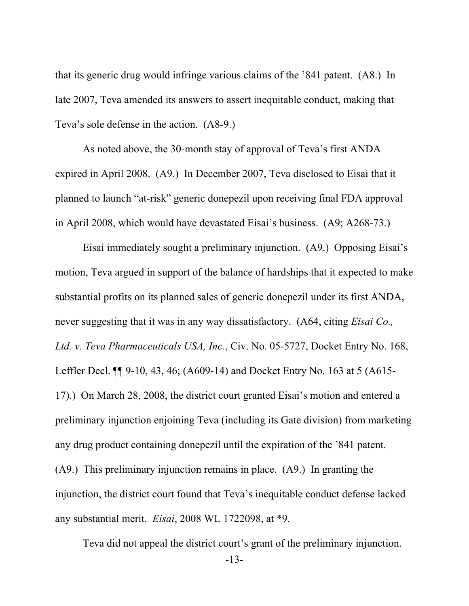that its generic drug would infringe various claims of the '841 patent. (A8.) In late 2007, Teva amended its answers to assert inequitable conduct, making that Teva's sole defense in the action. (A8-9.)

As noted above, the 30-month stay of approval of Teva's first ANDA expired in April 2008. (A9.) In December 2007, Teva disclosed to Eisai that it planned to launch "at-risk" generic donepezil upon receiving final FDA approval in April 2008, which would have devastated Eisai's business. (A9; A268-73.)

Eisai immediately sought a preliminary injunction. (A9.) Opposing Eisai's motion, Teva argued in support of the balance of hardships that it expected to make substantial profits on its planned sales of generic donepezil under its first ANDA, never suggesting that it was in any way dissatisfactory. (A64, citing *Eisai Co., Ltd. v. Teva Pharmaceuticals USA, Inc.*, Civ. No. 05-5727, Docket Entry No. 168, Leffler Decl. ¶¶ 9-10, 43, 46; (A609-14) and Docket Entry No. 163 at 5 (A615- 17).) On March 28, 2008, the district court granted Eisai's motion and entered a preliminary injunction enjoining Teva (including its Gate division) from marketing any drug product containing donepezil until the expiration of the '841 patent. (A9.) This preliminary injunction remains in place. (A9.) In granting the injunction, the district court found that Teva's inequitable conduct defense lacked any substantial merit. *Eisai*, 2008 WL 1722098, at \*9.

Teva did not appeal the district court's grant of the preliminary injunction.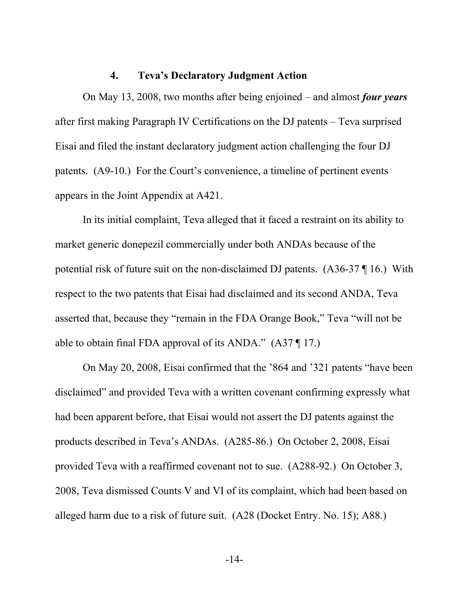### **4. Teva's Declaratory Judgment Action**

On May 13, 2008, two months after being enjoined – and almost *four years* after first making Paragraph IV Certifications on the DJ patents – Teva surprised Eisai and filed the instant declaratory judgment action challenging the four DJ patents. (A9-10.) For the Court's convenience, a timeline of pertinent events appears in the Joint Appendix at A421.

In its initial complaint, Teva alleged that it faced a restraint on its ability to market generic donepezil commercially under both ANDAs because of the potential risk of future suit on the non-disclaimed DJ patents. (A36-37 ¶ 16.) With respect to the two patents that Eisai had disclaimed and its second ANDA, Teva asserted that, because they "remain in the FDA Orange Book," Teva "will not be able to obtain final FDA approval of its ANDA." (A37 ¶ 17.)

On May 20, 2008, Eisai confirmed that the '864 and '321 patents "have been disclaimed" and provided Teva with a written covenant confirming expressly what had been apparent before, that Eisai would not assert the DJ patents against the products described in Teva's ANDAs. (A285-86.) On October 2, 2008, Eisai provided Teva with a reaffirmed covenant not to sue. (A288-92.) On October 3, 2008, Teva dismissed Counts V and VI of its complaint, which had been based on alleged harm due to a risk of future suit. (A28 (Docket Entry. No. 15); A88.)

-14-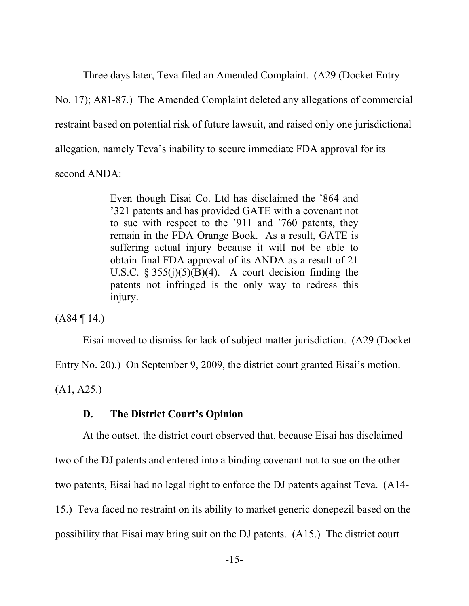Three days later, Teva filed an Amended Complaint. (A29 (Docket Entry No. 17); A81-87.) The Amended Complaint deleted any allegations of commercial restraint based on potential risk of future lawsuit, and raised only one jurisdictional allegation, namely Teva's inability to secure immediate FDA approval for its second ANDA:

> Even though Eisai Co. Ltd has disclaimed the '864 and '321 patents and has provided GATE with a covenant not to sue with respect to the '911 and '760 patents, they remain in the FDA Orange Book. As a result, GATE is suffering actual injury because it will not be able to obtain final FDA approval of its ANDA as a result of 21 U.S.C.  $\S 355(j)(5)(B)(4)$ . A court decision finding the patents not infringed is the only way to redress this injury.

 $(A84 \parallel 14)$ 

Eisai moved to dismiss for lack of subject matter jurisdiction. (A29 (Docket

Entry No. 20).) On September 9, 2009, the district court granted Eisai's motion.

 $(A1, A25.)$ 

#### **D. The District Court's Opinion**

At the outset, the district court observed that, because Eisai has disclaimed two of the DJ patents and entered into a binding covenant not to sue on the other two patents, Eisai had no legal right to enforce the DJ patents against Teva. (A14- 15.) Teva faced no restraint on its ability to market generic donepezil based on the possibility that Eisai may bring suit on the DJ patents. (A15.) The district court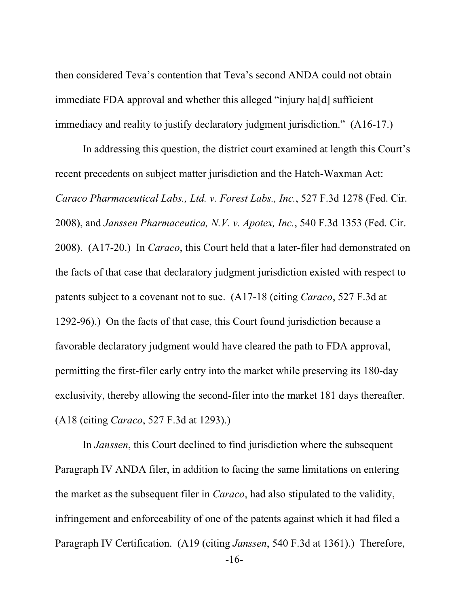then considered Teva's contention that Teva's second ANDA could not obtain immediate FDA approval and whether this alleged "injury ha[d] sufficient immediacy and reality to justify declaratory judgment jurisdiction." (A16-17.)

In addressing this question, the district court examined at length this Court's recent precedents on subject matter jurisdiction and the Hatch-Waxman Act: *Caraco Pharmaceutical Labs., Ltd. v. Forest Labs., Inc.*, 527 F.3d 1278 (Fed. Cir. 2008), and *Janssen Pharmaceutica, N.V. v. Apotex, Inc.*, 540 F.3d 1353 (Fed. Cir. 2008). (A17-20.) In *Caraco*, this Court held that a later-filer had demonstrated on the facts of that case that declaratory judgment jurisdiction existed with respect to patents subject to a covenant not to sue. (A17-18 (citing *Caraco*, 527 F.3d at 1292-96).) On the facts of that case, this Court found jurisdiction because a favorable declaratory judgment would have cleared the path to FDA approval, permitting the first-filer early entry into the market while preserving its 180-day exclusivity, thereby allowing the second-filer into the market 181 days thereafter. (A18 (citing *Caraco*, 527 F.3d at 1293).)

In *Janssen*, this Court declined to find jurisdiction where the subsequent Paragraph IV ANDA filer, in addition to facing the same limitations on entering the market as the subsequent filer in *Caraco*, had also stipulated to the validity, infringement and enforceability of one of the patents against which it had filed a Paragraph IV Certification. (A19 (citing *Janssen*, 540 F.3d at 1361).) Therefore,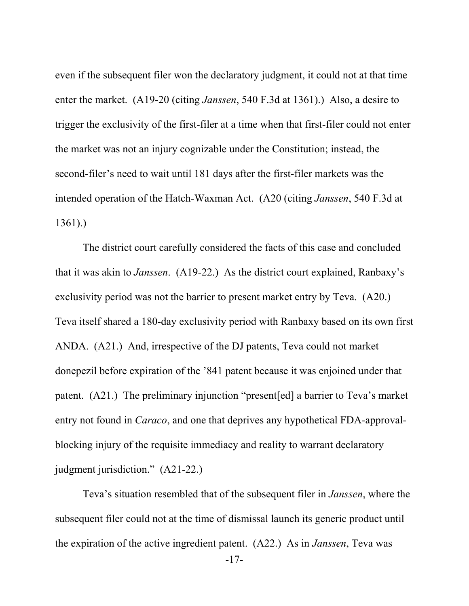even if the subsequent filer won the declaratory judgment, it could not at that time enter the market. (A19-20 (citing *Janssen*, 540 F.3d at 1361).) Also, a desire to trigger the exclusivity of the first-filer at a time when that first-filer could not enter the market was not an injury cognizable under the Constitution; instead, the second-filer's need to wait until 181 days after the first-filer markets was the intended operation of the Hatch-Waxman Act. (A20 (citing *Janssen*, 540 F.3d at 1361).)

The district court carefully considered the facts of this case and concluded that it was akin to *Janssen*. (A19-22.) As the district court explained, Ranbaxy's exclusivity period was not the barrier to present market entry by Teva. (A20.) Teva itself shared a 180-day exclusivity period with Ranbaxy based on its own first ANDA. (A21.) And, irrespective of the DJ patents, Teva could not market donepezil before expiration of the '841 patent because it was enjoined under that patent. (A21.) The preliminary injunction "present[ed] a barrier to Teva's market entry not found in *Caraco*, and one that deprives any hypothetical FDA-approvalblocking injury of the requisite immediacy and reality to warrant declaratory judgment jurisdiction." (A21-22.)

Teva's situation resembled that of the subsequent filer in *Janssen*, where the subsequent filer could not at the time of dismissal launch its generic product until the expiration of the active ingredient patent. (A22.) As in *Janssen*, Teva was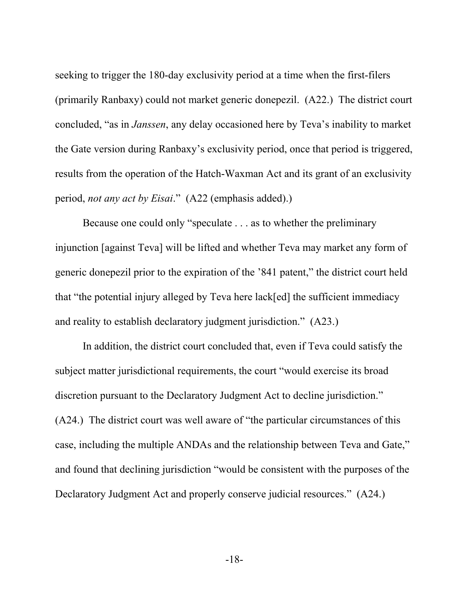seeking to trigger the 180-day exclusivity period at a time when the first-filers (primarily Ranbaxy) could not market generic donepezil. (A22.) The district court concluded, "as in *Janssen*, any delay occasioned here by Teva's inability to market the Gate version during Ranbaxy's exclusivity period, once that period is triggered, results from the operation of the Hatch-Waxman Act and its grant of an exclusivity period, *not any act by Eisai*." (A22 (emphasis added).)

Because one could only "speculate . . . as to whether the preliminary injunction [against Teva] will be lifted and whether Teva may market any form of generic donepezil prior to the expiration of the '841 patent," the district court held that "the potential injury alleged by Teva here lack[ed] the sufficient immediacy and reality to establish declaratory judgment jurisdiction." (A23.)

In addition, the district court concluded that, even if Teva could satisfy the subject matter jurisdictional requirements, the court "would exercise its broad discretion pursuant to the Declaratory Judgment Act to decline jurisdiction." (A24.) The district court was well aware of "the particular circumstances of this case, including the multiple ANDAs and the relationship between Teva and Gate," and found that declining jurisdiction "would be consistent with the purposes of the Declaratory Judgment Act and properly conserve judicial resources." (A24.)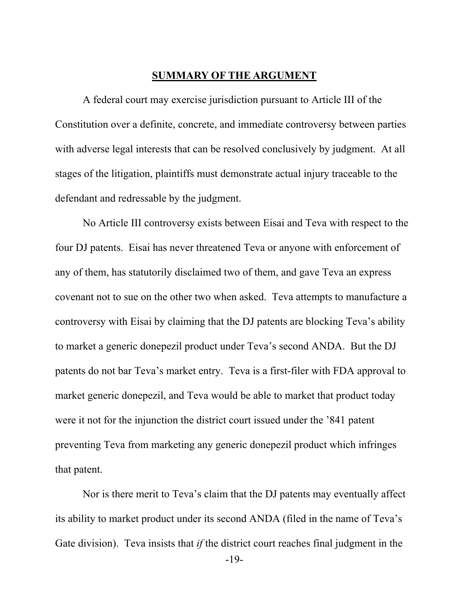#### **SUMMARY OF THE ARGUMENT**

A federal court may exercise jurisdiction pursuant to Article III of the Constitution over a definite, concrete, and immediate controversy between parties with adverse legal interests that can be resolved conclusively by judgment. At all stages of the litigation, plaintiffs must demonstrate actual injury traceable to the defendant and redressable by the judgment.

No Article III controversy exists between Eisai and Teva with respect to the four DJ patents. Eisai has never threatened Teva or anyone with enforcement of any of them, has statutorily disclaimed two of them, and gave Teva an express covenant not to sue on the other two when asked. Teva attempts to manufacture a controversy with Eisai by claiming that the DJ patents are blocking Teva's ability to market a generic donepezil product under Teva's second ANDA. But the DJ patents do not bar Teva's market entry. Teva is a first-filer with FDA approval to market generic donepezil, and Teva would be able to market that product today were it not for the injunction the district court issued under the '841 patent preventing Teva from marketing any generic donepezil product which infringes that patent.

Nor is there merit to Teva's claim that the DJ patents may eventually affect its ability to market product under its second ANDA (filed in the name of Teva's Gate division). Teva insists that *if* the district court reaches final judgment in the

-19-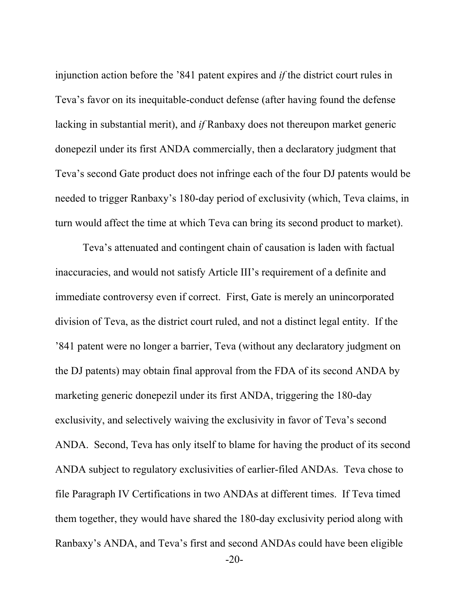injunction action before the '841 patent expires and *if* the district court rules in Teva's favor on its inequitable-conduct defense (after having found the defense lacking in substantial merit), and *if* Ranbaxy does not thereupon market generic donepezil under its first ANDA commercially, then a declaratory judgment that Teva's second Gate product does not infringe each of the four DJ patents would be needed to trigger Ranbaxy's 180-day period of exclusivity (which, Teva claims, in turn would affect the time at which Teva can bring its second product to market).

Teva's attenuated and contingent chain of causation is laden with factual inaccuracies, and would not satisfy Article III's requirement of a definite and immediate controversy even if correct. First, Gate is merely an unincorporated division of Teva, as the district court ruled, and not a distinct legal entity. If the '841 patent were no longer a barrier, Teva (without any declaratory judgment on the DJ patents) may obtain final approval from the FDA of its second ANDA by marketing generic donepezil under its first ANDA, triggering the 180-day exclusivity, and selectively waiving the exclusivity in favor of Teva's second ANDA. Second, Teva has only itself to blame for having the product of its second ANDA subject to regulatory exclusivities of earlier-filed ANDAs. Teva chose to file Paragraph IV Certifications in two ANDAs at different times. If Teva timed them together, they would have shared the 180-day exclusivity period along with Ranbaxy's ANDA, and Teva's first and second ANDAs could have been eligible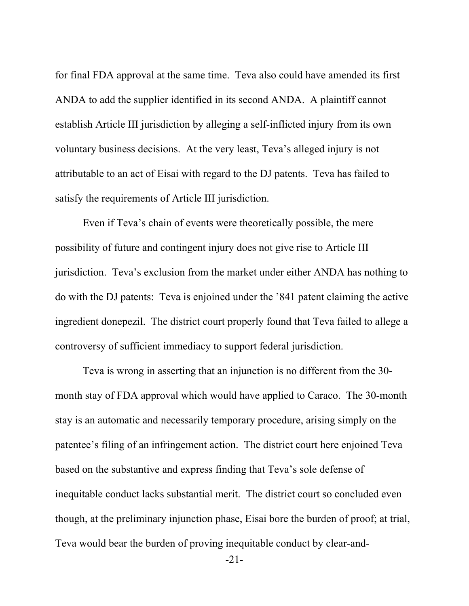for final FDA approval at the same time. Teva also could have amended its first ANDA to add the supplier identified in its second ANDA. A plaintiff cannot establish Article III jurisdiction by alleging a self-inflicted injury from its own voluntary business decisions. At the very least, Teva's alleged injury is not attributable to an act of Eisai with regard to the DJ patents. Teva has failed to satisfy the requirements of Article III jurisdiction.

Even if Teva's chain of events were theoretically possible, the mere possibility of future and contingent injury does not give rise to Article III jurisdiction. Teva's exclusion from the market under either ANDA has nothing to do with the DJ patents: Teva is enjoined under the '841 patent claiming the active ingredient donepezil. The district court properly found that Teva failed to allege a controversy of sufficient immediacy to support federal jurisdiction.

Teva is wrong in asserting that an injunction is no different from the 30 month stay of FDA approval which would have applied to Caraco. The 30-month stay is an automatic and necessarily temporary procedure, arising simply on the patentee's filing of an infringement action. The district court here enjoined Teva based on the substantive and express finding that Teva's sole defense of inequitable conduct lacks substantial merit. The district court so concluded even though, at the preliminary injunction phase, Eisai bore the burden of proof; at trial, Teva would bear the burden of proving inequitable conduct by clear-and-

-21-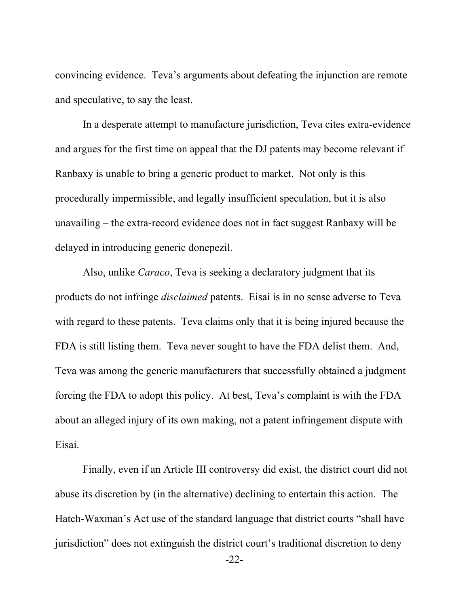convincing evidence. Teva's arguments about defeating the injunction are remote and speculative, to say the least.

In a desperate attempt to manufacture jurisdiction, Teva cites extra-evidence and argues for the first time on appeal that the DJ patents may become relevant if Ranbaxy is unable to bring a generic product to market. Not only is this procedurally impermissible, and legally insufficient speculation, but it is also unavailing – the extra-record evidence does not in fact suggest Ranbaxy will be delayed in introducing generic donepezil.

Also, unlike *Caraco*, Teva is seeking a declaratory judgment that its products do not infringe *disclaimed* patents. Eisai is in no sense adverse to Teva with regard to these patents. Teva claims only that it is being injured because the FDA is still listing them. Teva never sought to have the FDA delist them. And, Teva was among the generic manufacturers that successfully obtained a judgment forcing the FDA to adopt this policy. At best, Teva's complaint is with the FDA about an alleged injury of its own making, not a patent infringement dispute with Eisai.

Finally, even if an Article III controversy did exist, the district court did not abuse its discretion by (in the alternative) declining to entertain this action. The Hatch-Waxman's Act use of the standard language that district courts "shall have jurisdiction" does not extinguish the district court's traditional discretion to deny

 <sup>-22-</sup>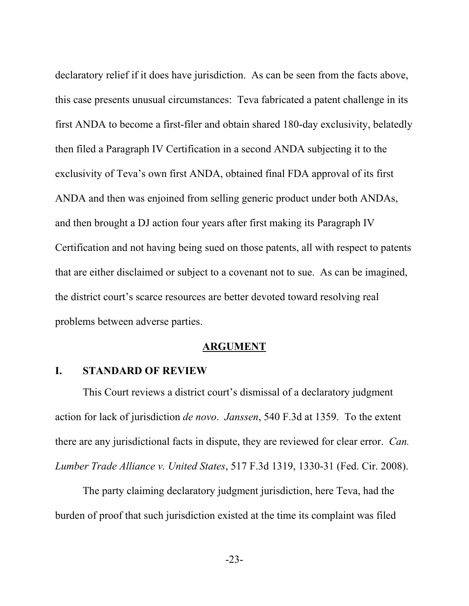declaratory relief if it does have jurisdiction. As can be seen from the facts above, this case presents unusual circumstances: Teva fabricated a patent challenge in its first ANDA to become a first-filer and obtain shared 180-day exclusivity, belatedly then filed a Paragraph IV Certification in a second ANDA subjecting it to the exclusivity of Teva's own first ANDA, obtained final FDA approval of its first ANDA and then was enjoined from selling generic product under both ANDAs, and then brought a DJ action four years after first making its Paragraph IV Certification and not having being sued on those patents, all with respect to patents that are either disclaimed or subject to a covenant not to sue. As can be imagined, the district court's scarce resources are better devoted toward resolving real problems between adverse parties.

#### **ARGUMENT**

#### **I. STANDARD OF REVIEW**

This Court reviews a district court's dismissal of a declaratory judgment action for lack of jurisdiction *de novo*. *Janssen*, 540 F.3d at 1359. To the extent there are any jurisdictional facts in dispute, they are reviewed for clear error. *Can. Lumber Trade Alliance v. United States*, 517 F.3d 1319, 1330-31 (Fed. Cir. 2008).

The party claiming declaratory judgment jurisdiction, here Teva, had the burden of proof that such jurisdiction existed at the time its complaint was filed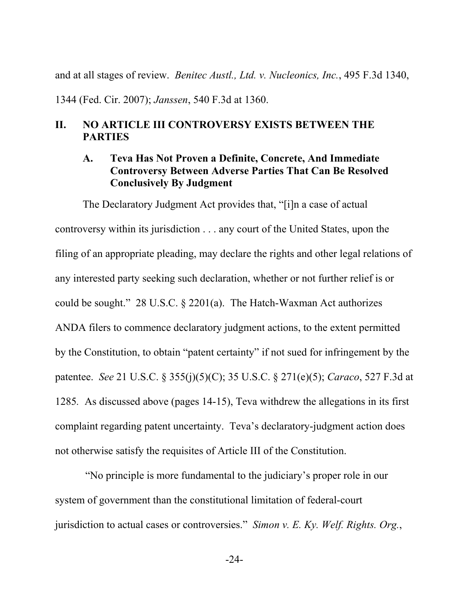and at all stages of review. *Benitec Austl., Ltd. v. Nucleonics, Inc.*, 495 F.3d 1340,

1344 (Fed. Cir. 2007); *Janssen*, 540 F.3d at 1360.

### **II. NO ARTICLE III CONTROVERSY EXISTS BETWEEN THE PARTIES**

### **A. Teva Has Not Proven a Definite, Concrete, And Immediate Controversy Between Adverse Parties That Can Be Resolved Conclusively By Judgment**

The Declaratory Judgment Act provides that, "[i]n a case of actual controversy within its jurisdiction . . . any court of the United States, upon the filing of an appropriate pleading, may declare the rights and other legal relations of any interested party seeking such declaration, whether or not further relief is or could be sought." 28 U.S.C. § 2201(a). The Hatch-Waxman Act authorizes ANDA filers to commence declaratory judgment actions, to the extent permitted by the Constitution, to obtain "patent certainty" if not sued for infringement by the patentee. *See* 21 U.S.C. § 355(j)(5)(C); 35 U.S.C. § 271(e)(5); *Caraco*, 527 F.3d at 1285*.* As discussed above (pages 14-15), Teva withdrew the allegations in its first complaint regarding patent uncertainty. Teva's declaratory-judgment action does not otherwise satisfy the requisites of Article III of the Constitution.

 "No principle is more fundamental to the judiciary's proper role in our system of government than the constitutional limitation of federal-court jurisdiction to actual cases or controversies." *Simon v. E. Ky. Welf. Rights. Org.*,

-24-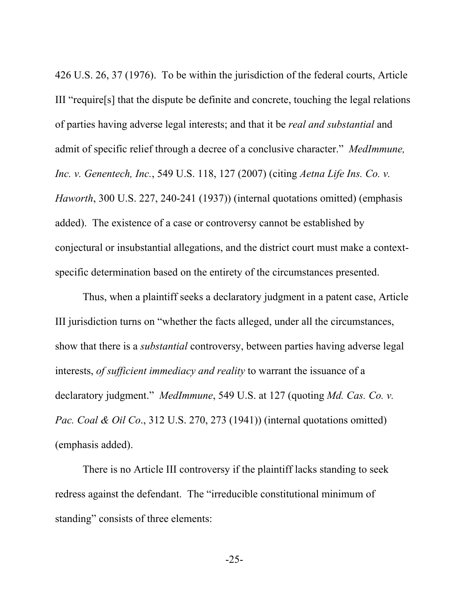426 U.S. 26, 37 (1976). To be within the jurisdiction of the federal courts, Article III "require[s] that the dispute be definite and concrete, touching the legal relations of parties having adverse legal interests; and that it be *real and substantial* and admit of specific relief through a decree of a conclusive character." *MedImmune, Inc. v. Genentech, Inc.*, 549 U.S. 118, 127 (2007) (citing *Aetna Life Ins. Co. v. Haworth*, 300 U.S. 227, 240-241 (1937)) (internal quotations omitted) (emphasis added). The existence of a case or controversy cannot be established by conjectural or insubstantial allegations, and the district court must make a contextspecific determination based on the entirety of the circumstances presented.

Thus, when a plaintiff seeks a declaratory judgment in a patent case, Article III jurisdiction turns on "whether the facts alleged, under all the circumstances, show that there is a *substantial* controversy, between parties having adverse legal interests, *of sufficient immediacy and reality* to warrant the issuance of a declaratory judgment." *MedImmune*, 549 U.S. at 127 (quoting *Md. Cas. Co. v. Pac. Coal & Oil Co*., 312 U.S. 270, 273 (1941)) (internal quotations omitted) (emphasis added).

There is no Article III controversy if the plaintiff lacks standing to seek redress against the defendant. The "irreducible constitutional minimum of standing" consists of three elements: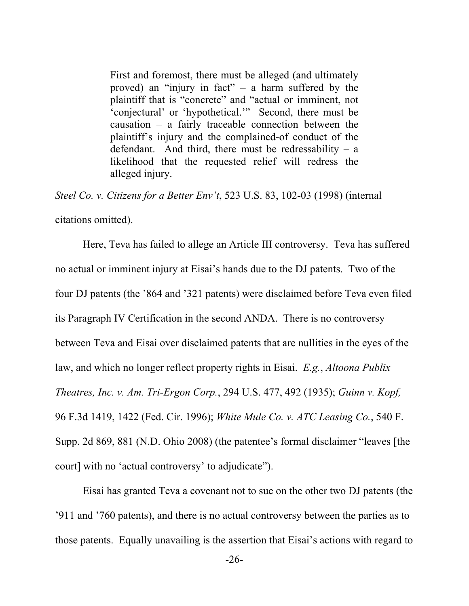First and foremost, there must be alleged (and ultimately proved) an "injury in fact" – a harm suffered by the plaintiff that is "concrete" and "actual or imminent, not 'conjectural' or 'hypothetical.'" Second, there must be causation – a fairly traceable connection between the plaintiff's injury and the complained-of conduct of the defendant. And third, there must be redressability  $-$  a likelihood that the requested relief will redress the alleged injury.

*Steel Co. v. Citizens for a Better Env't*, 523 U.S. 83, 102-03 (1998) (internal citations omitted).

Here, Teva has failed to allege an Article III controversy. Teva has suffered no actual or imminent injury at Eisai's hands due to the DJ patents. Two of the four DJ patents (the '864 and '321 patents) were disclaimed before Teva even filed its Paragraph IV Certification in the second ANDA. There is no controversy between Teva and Eisai over disclaimed patents that are nullities in the eyes of the law, and which no longer reflect property rights in Eisai. *E.g.*, *Altoona Publix Theatres, Inc. v. Am. Tri-Ergon Corp.*, 294 U.S. 477, 492 (1935); *Guinn v. Kopf,*  96 F.3d 1419, 1422 (Fed. Cir. 1996); *White Mule Co. v. ATC Leasing Co.*, 540 F. Supp. 2d 869, 881 (N.D. Ohio 2008) (the patentee's formal disclaimer "leaves [the court] with no 'actual controversy' to adjudicate").

Eisai has granted Teva a covenant not to sue on the other two DJ patents (the '911 and '760 patents), and there is no actual controversy between the parties as to those patents. Equally unavailing is the assertion that Eisai's actions with regard to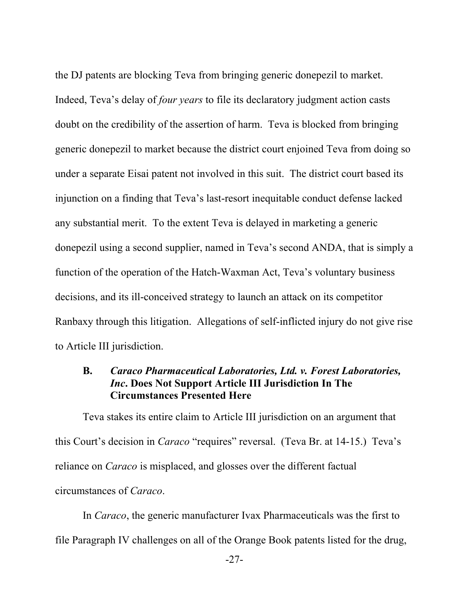the DJ patents are blocking Teva from bringing generic donepezil to market. Indeed, Teva's delay of *four years* to file its declaratory judgment action casts doubt on the credibility of the assertion of harm. Teva is blocked from bringing generic donepezil to market because the district court enjoined Teva from doing so under a separate Eisai patent not involved in this suit. The district court based its injunction on a finding that Teva's last-resort inequitable conduct defense lacked any substantial merit. To the extent Teva is delayed in marketing a generic donepezil using a second supplier, named in Teva's second ANDA, that is simply a function of the operation of the Hatch-Waxman Act, Teva's voluntary business decisions, and its ill-conceived strategy to launch an attack on its competitor Ranbaxy through this litigation. Allegations of self-inflicted injury do not give rise to Article III jurisdiction.

### **B.** *Caraco Pharmaceutical Laboratories, Ltd. v. Forest Laboratories, Inc***. Does Not Support Article III Jurisdiction In The Circumstances Presented Here**

Teva stakes its entire claim to Article III jurisdiction on an argument that this Court's decision in *Caraco* "requires" reversal. (Teva Br. at 14-15.) Teva's reliance on *Caraco* is misplaced, and glosses over the different factual circumstances of *Caraco*.

In *Caraco*, the generic manufacturer Ivax Pharmaceuticals was the first to file Paragraph IV challenges on all of the Orange Book patents listed for the drug,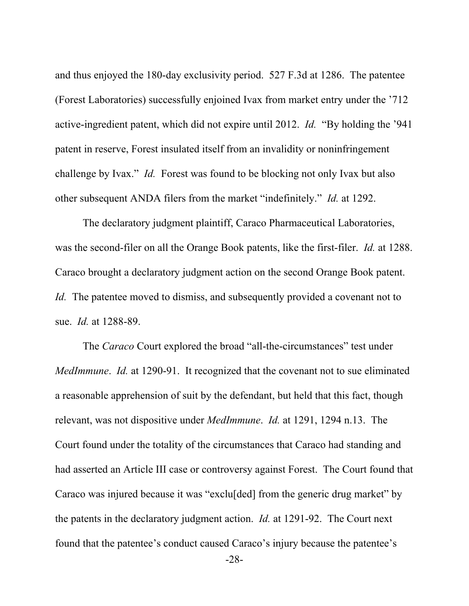and thus enjoyed the 180-day exclusivity period. 527 F.3d at 1286. The patentee (Forest Laboratories) successfully enjoined Ivax from market entry under the '712 active-ingredient patent, which did not expire until 2012. *Id.* "By holding the '941 patent in reserve, Forest insulated itself from an invalidity or noninfringement challenge by Ivax." *Id.* Forest was found to be blocking not only Ivax but also other subsequent ANDA filers from the market "indefinitely." *Id.* at 1292.

The declaratory judgment plaintiff, Caraco Pharmaceutical Laboratories, was the second-filer on all the Orange Book patents, like the first-filer. *Id.* at 1288. Caraco brought a declaratory judgment action on the second Orange Book patent. *Id.* The patentee moved to dismiss, and subsequently provided a covenant not to sue. *Id.* at 1288-89.

The *Caraco* Court explored the broad "all-the-circumstances" test under *MedImmune*. *Id.* at 1290-91. It recognized that the covenant not to sue eliminated a reasonable apprehension of suit by the defendant, but held that this fact, though relevant, was not dispositive under *MedImmune*. *Id.* at 1291, 1294 n.13. The Court found under the totality of the circumstances that Caraco had standing and had asserted an Article III case or controversy against Forest. The Court found that Caraco was injured because it was "exclu[ded] from the generic drug market" by the patents in the declaratory judgment action. *Id.* at 1291-92. The Court next found that the patentee's conduct caused Caraco's injury because the patentee's

-28-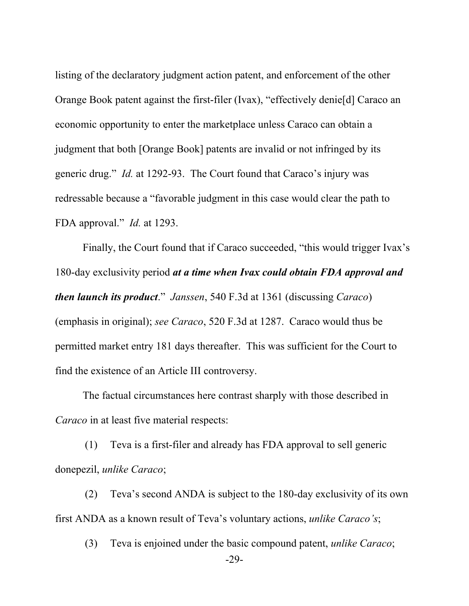listing of the declaratory judgment action patent, and enforcement of the other Orange Book patent against the first-filer (Ivax), "effectively denie[d] Caraco an economic opportunity to enter the marketplace unless Caraco can obtain a judgment that both [Orange Book] patents are invalid or not infringed by its generic drug." *Id.* at 1292-93. The Court found that Caraco's injury was redressable because a "favorable judgment in this case would clear the path to FDA approval." *Id.* at 1293.

Finally, the Court found that if Caraco succeeded, "this would trigger Ivax's 180-day exclusivity period *at a time when Ivax could obtain FDA approval and then launch its product*." *Janssen*, 540 F.3d at 1361 (discussing *Caraco*) (emphasis in original); *see Caraco*, 520 F.3d at 1287. Caraco would thus be permitted market entry 181 days thereafter. This was sufficient for the Court to find the existence of an Article III controversy.

The factual circumstances here contrast sharply with those described in *Caraco* in at least five material respects:

(1) Teva is a first-filer and already has FDA approval to sell generic donepezil, *unlike Caraco*;

(2) Teva's second ANDA is subject to the 180-day exclusivity of its own first ANDA as a known result of Teva's voluntary actions, *unlike Caraco's*;

(3) Teva is enjoined under the basic compound patent, *unlike Caraco*;

-29-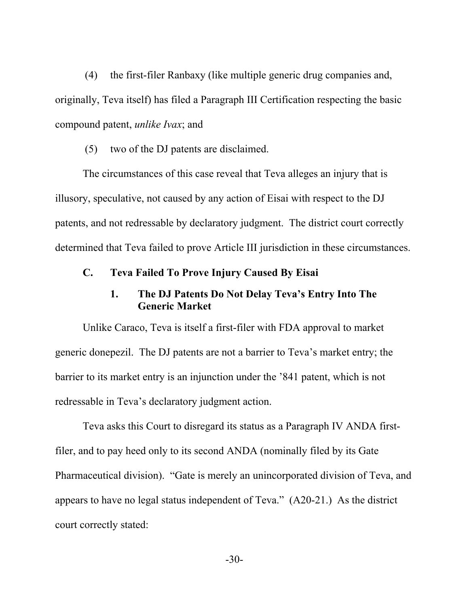(4) the first-filer Ranbaxy (like multiple generic drug companies and, originally, Teva itself) has filed a Paragraph III Certification respecting the basic compound patent, *unlike Ivax*; and

(5) two of the DJ patents are disclaimed.

 The circumstances of this case reveal that Teva alleges an injury that is illusory, speculative, not caused by any action of Eisai with respect to the DJ patents, and not redressable by declaratory judgment. The district court correctly determined that Teva failed to prove Article III jurisdiction in these circumstances.

### **C. Teva Failed To Prove Injury Caused By Eisai**

### **1. The DJ Patents Do Not Delay Teva's Entry Into The Generic Market**

Unlike Caraco, Teva is itself a first-filer with FDA approval to market generic donepezil. The DJ patents are not a barrier to Teva's market entry; the barrier to its market entry is an injunction under the '841 patent, which is not redressable in Teva's declaratory judgment action.

Teva asks this Court to disregard its status as a Paragraph IV ANDA firstfiler, and to pay heed only to its second ANDA (nominally filed by its Gate Pharmaceutical division). "Gate is merely an unincorporated division of Teva, and appears to have no legal status independent of Teva." (A20-21.) As the district court correctly stated: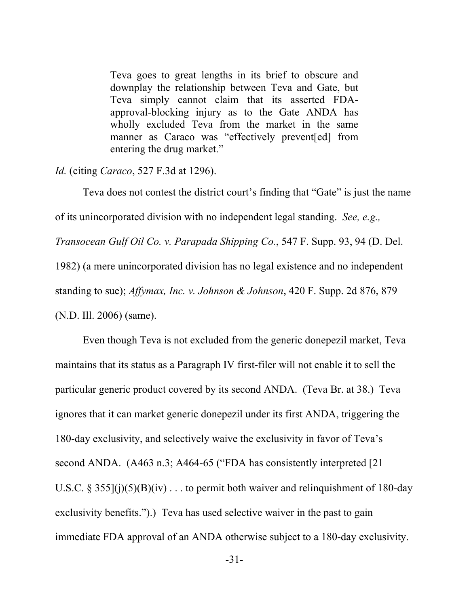Teva goes to great lengths in its brief to obscure and downplay the relationship between Teva and Gate, but Teva simply cannot claim that its asserted FDAapproval-blocking injury as to the Gate ANDA has wholly excluded Teva from the market in the same manner as Caraco was "effectively prevent[ed] from entering the drug market."

*Id.* (citing *Caraco*, 527 F.3d at 1296).

Teva does not contest the district court's finding that "Gate" is just the name of its unincorporated division with no independent legal standing. *See, e.g., Transocean Gulf Oil Co. v. Parapada Shipping Co.*, 547 F. Supp. 93, 94 (D. Del. 1982) (a mere unincorporated division has no legal existence and no independent standing to sue); *Affymax, Inc. v. Johnson & Johnson*, 420 F. Supp. 2d 876, 879 (N.D. Ill. 2006) (same).

Even though Teva is not excluded from the generic donepezil market, Teva maintains that its status as a Paragraph IV first-filer will not enable it to sell the particular generic product covered by its second ANDA. (Teva Br. at 38.) Teva ignores that it can market generic donepezil under its first ANDA, triggering the 180-day exclusivity, and selectively waive the exclusivity in favor of Teva's second ANDA. (A463 n.3; A464-65 ("FDA has consistently interpreted [21] U.S.C. § 355 $(i)(5)(B)(iv)$ ... to permit both waiver and relinquishment of 180-day exclusivity benefits.").) Teva has used selective waiver in the past to gain immediate FDA approval of an ANDA otherwise subject to a 180-day exclusivity.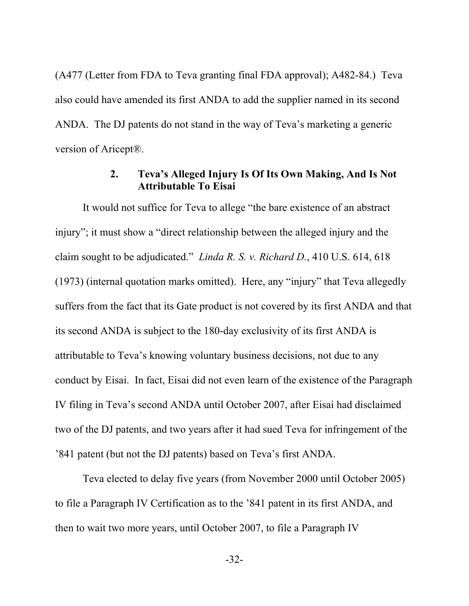(A477 (Letter from FDA to Teva granting final FDA approval); A482-84.) Teva also could have amended its first ANDA to add the supplier named in its second ANDA. The DJ patents do not stand in the way of Teva's marketing a generic version of Aricept®.

### **2. Teva's Alleged Injury Is Of Its Own Making, And Is Not Attributable To Eisai**

It would not suffice for Teva to allege "the bare existence of an abstract injury"; it must show a "direct relationship between the alleged injury and the claim sought to be adjudicated." *Linda R. S. v. Richard D.*, 410 U.S. 614, 618 (1973) (internal quotation marks omitted). Here, any "injury" that Teva allegedly suffers from the fact that its Gate product is not covered by its first ANDA and that its second ANDA is subject to the 180-day exclusivity of its first ANDA is attributable to Teva's knowing voluntary business decisions, not due to any conduct by Eisai. In fact, Eisai did not even learn of the existence of the Paragraph IV filing in Teva's second ANDA until October 2007, after Eisai had disclaimed two of the DJ patents, and two years after it had sued Teva for infringement of the '841 patent (but not the DJ patents) based on Teva's first ANDA.

Teva elected to delay five years (from November 2000 until October 2005) to file a Paragraph IV Certification as to the '841 patent in its first ANDA, and then to wait two more years, until October 2007, to file a Paragraph IV

-32-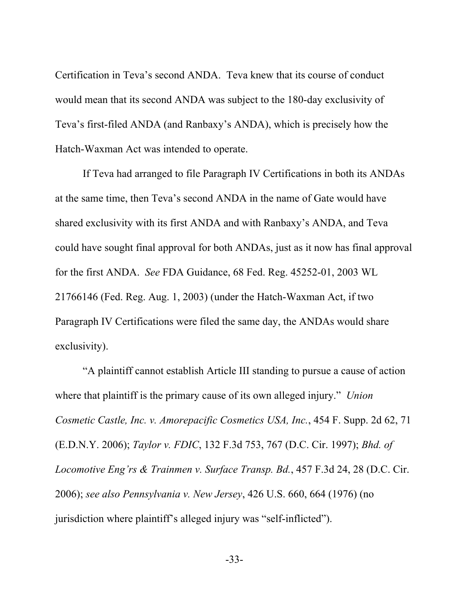Certification in Teva's second ANDA. Teva knew that its course of conduct would mean that its second ANDA was subject to the 180-day exclusivity of Teva's first-filed ANDA (and Ranbaxy's ANDA), which is precisely how the Hatch-Waxman Act was intended to operate.

If Teva had arranged to file Paragraph IV Certifications in both its ANDAs at the same time, then Teva's second ANDA in the name of Gate would have shared exclusivity with its first ANDA and with Ranbaxy's ANDA, and Teva could have sought final approval for both ANDAs, just as it now has final approval for the first ANDA. *See* FDA Guidance, 68 Fed. Reg. 45252-01, 2003 WL 21766146 (Fed. Reg. Aug. 1, 2003) (under the Hatch-Waxman Act, if two Paragraph IV Certifications were filed the same day, the ANDAs would share exclusivity).

"A plaintiff cannot establish Article III standing to pursue a cause of action where that plaintiff is the primary cause of its own alleged injury." *Union Cosmetic Castle, Inc. v. Amorepacific Cosmetics USA, Inc.*, 454 F. Supp. 2d 62, 71 (E.D.N.Y. 2006); *Taylor v. FDIC*, 132 F.3d 753, 767 (D.C. Cir. 1997); *Bhd. of Locomotive Eng'rs & Trainmen v. Surface Transp. Bd.*, 457 F.3d 24, 28 (D.C. Cir. 2006); *see also Pennsylvania v. New Jersey*, 426 U.S. 660, 664 (1976) (no jurisdiction where plaintiff's alleged injury was "self-inflicted").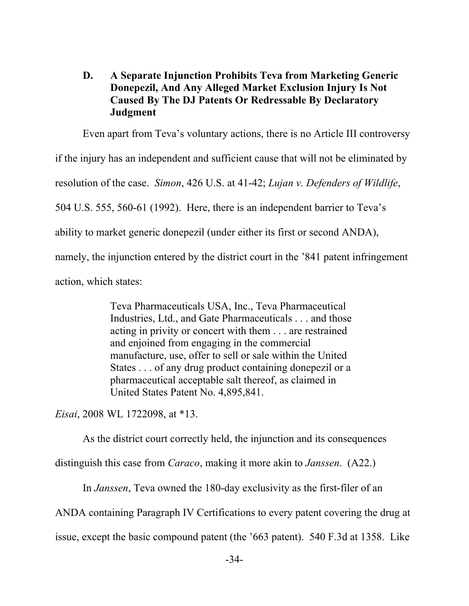## **D. A Separate Injunction Prohibits Teva from Marketing Generic Donepezil, And Any Alleged Market Exclusion Injury Is Not Caused By The DJ Patents Or Redressable By Declaratory Judgment**

Even apart from Teva's voluntary actions, there is no Article III controversy if the injury has an independent and sufficient cause that will not be eliminated by resolution of the case. *Simon*, 426 U.S. at 41-42; *Lujan v. Defenders of Wildlife*, 504 U.S. 555, 560-61 (1992). Here, there is an independent barrier to Teva's ability to market generic donepezil (under either its first or second ANDA), namely, the injunction entered by the district court in the '841 patent infringement action, which states:

> Teva Pharmaceuticals USA, Inc., Teva Pharmaceutical Industries, Ltd., and Gate Pharmaceuticals . . . and those acting in privity or concert with them . . . are restrained and enjoined from engaging in the commercial manufacture, use, offer to sell or sale within the United States . . . of any drug product containing donepezil or a pharmaceutical acceptable salt thereof, as claimed in United States Patent No. 4,895,841.

*Eisai*, 2008 WL 1722098, at \*13.

As the district court correctly held, the injunction and its consequences distinguish this case from *Caraco*, making it more akin to *Janssen*. (A22.)

In *Janssen*, Teva owned the 180-day exclusivity as the first-filer of an

ANDA containing Paragraph IV Certifications to every patent covering the drug at

issue, except the basic compound patent (the '663 patent). 540 F.3d at 1358. Like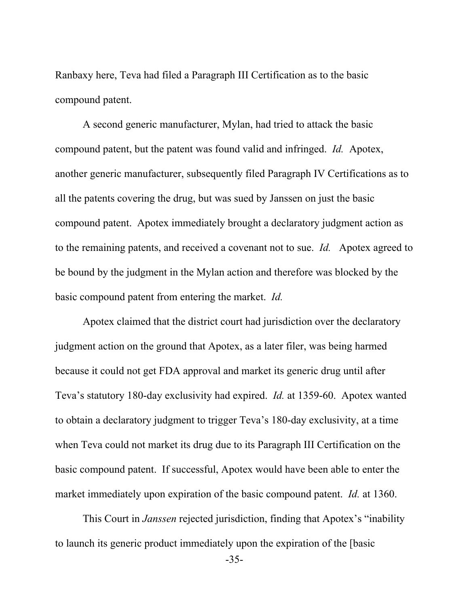Ranbaxy here, Teva had filed a Paragraph III Certification as to the basic compound patent.

A second generic manufacturer, Mylan, had tried to attack the basic compound patent, but the patent was found valid and infringed. *Id.* Apotex, another generic manufacturer, subsequently filed Paragraph IV Certifications as to all the patents covering the drug, but was sued by Janssen on just the basic compound patent. Apotex immediately brought a declaratory judgment action as to the remaining patents, and received a covenant not to sue. *Id.* Apotex agreed to be bound by the judgment in the Mylan action and therefore was blocked by the basic compound patent from entering the market. *Id.*

Apotex claimed that the district court had jurisdiction over the declaratory judgment action on the ground that Apotex, as a later filer, was being harmed because it could not get FDA approval and market its generic drug until after Teva's statutory 180-day exclusivity had expired. *Id.* at 1359-60. Apotex wanted to obtain a declaratory judgment to trigger Teva's 180-day exclusivity, at a time when Teva could not market its drug due to its Paragraph III Certification on the basic compound patent. If successful, Apotex would have been able to enter the market immediately upon expiration of the basic compound patent. *Id.* at 1360.

This Court in *Janssen* rejected jurisdiction, finding that Apotex's "inability to launch its generic product immediately upon the expiration of the [basic

-35-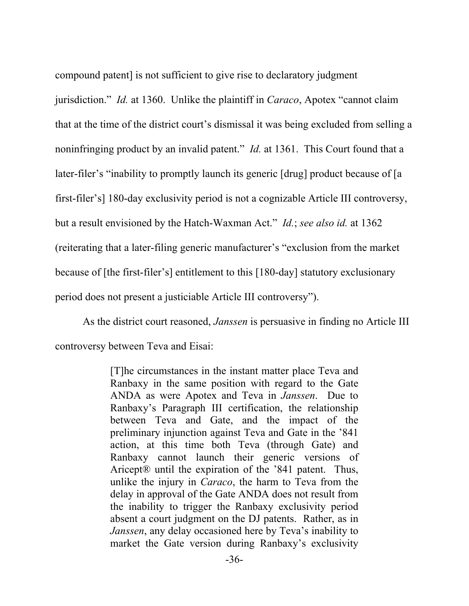compound patent] is not sufficient to give rise to declaratory judgment jurisdiction." *Id.* at 1360. Unlike the plaintiff in *Caraco*, Apotex "cannot claim that at the time of the district court's dismissal it was being excluded from selling a noninfringing product by an invalid patent." *Id.* at 1361. This Court found that a later-filer's "inability to promptly launch its generic [drug] product because of [a first-filer's] 180-day exclusivity period is not a cognizable Article III controversy, but a result envisioned by the Hatch-Waxman Act." *Id.*; *see also id.* at 1362 (reiterating that a later-filing generic manufacturer's "exclusion from the market because of [the first-filer's] entitlement to this [180-day] statutory exclusionary period does not present a justiciable Article III controversy").

As the district court reasoned, *Janssen* is persuasive in finding no Article III controversy between Teva and Eisai:

> [T]he circumstances in the instant matter place Teva and Ranbaxy in the same position with regard to the Gate ANDA as were Apotex and Teva in *Janssen*. Due to Ranbaxy's Paragraph III certification, the relationship between Teva and Gate, and the impact of the preliminary injunction against Teva and Gate in the '841 action, at this time both Teva (through Gate) and Ranbaxy cannot launch their generic versions of Aricept® until the expiration of the '841 patent. Thus, unlike the injury in *Caraco*, the harm to Teva from the delay in approval of the Gate ANDA does not result from the inability to trigger the Ranbaxy exclusivity period absent a court judgment on the DJ patents. Rather, as in *Janssen*, any delay occasioned here by Teva's inability to market the Gate version during Ranbaxy's exclusivity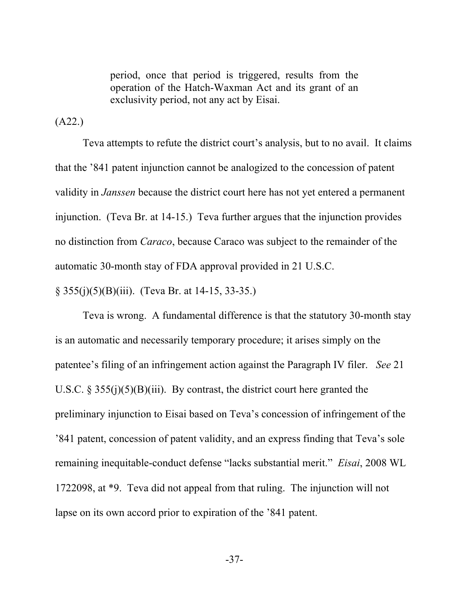period, once that period is triggered, results from the operation of the Hatch-Waxman Act and its grant of an exclusivity period, not any act by Eisai.

(A22.)

Teva attempts to refute the district court's analysis, but to no avail. It claims that the '841 patent injunction cannot be analogized to the concession of patent validity in *Janssen* because the district court here has not yet entered a permanent injunction. (Teva Br. at 14-15.) Teva further argues that the injunction provides no distinction from *Caraco*, because Caraco was subject to the remainder of the automatic 30-month stay of FDA approval provided in 21 U.S.C.

§ 355(j)(5)(B)(iii). (Teva Br. at 14-15, 33-35.)

Teva is wrong. A fundamental difference is that the statutory 30-month stay is an automatic and necessarily temporary procedure; it arises simply on the patentee's filing of an infringement action against the Paragraph IV filer. *See* 21 U.S.C. § 355(j)(5)(B)(iii). By contrast, the district court here granted the preliminary injunction to Eisai based on Teva's concession of infringement of the '841 patent, concession of patent validity, and an express finding that Teva's sole remaining inequitable-conduct defense "lacks substantial merit." *Eisai*, 2008 WL 1722098, at \*9. Teva did not appeal from that ruling. The injunction will not lapse on its own accord prior to expiration of the '841 patent.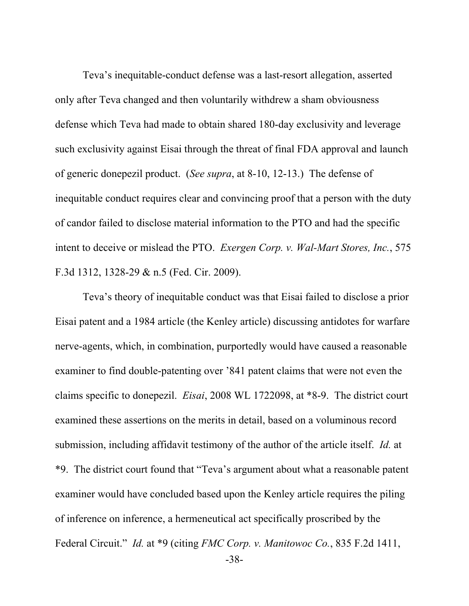Teva's inequitable-conduct defense was a last-resort allegation, asserted only after Teva changed and then voluntarily withdrew a sham obviousness defense which Teva had made to obtain shared 180-day exclusivity and leverage such exclusivity against Eisai through the threat of final FDA approval and launch of generic donepezil product. (*See supra*, at 8-10, 12-13.) The defense of inequitable conduct requires clear and convincing proof that a person with the duty of candor failed to disclose material information to the PTO and had the specific intent to deceive or mislead the PTO. *Exergen Corp. v. Wal-Mart Stores, Inc.*, 575 F.3d 1312, 1328-29 & n.5 (Fed. Cir. 2009).

Teva's theory of inequitable conduct was that Eisai failed to disclose a prior Eisai patent and a 1984 article (the Kenley article) discussing antidotes for warfare nerve-agents, which, in combination, purportedly would have caused a reasonable examiner to find double-patenting over '841 patent claims that were not even the claims specific to donepezil. *Eisai*, 2008 WL 1722098, at \*8-9. The district court examined these assertions on the merits in detail, based on a voluminous record submission, including affidavit testimony of the author of the article itself. *Id.* at \*9. The district court found that "Teva's argument about what a reasonable patent examiner would have concluded based upon the Kenley article requires the piling of inference on inference, a hermeneutical act specifically proscribed by the Federal Circuit." *Id.* at \*9 (citing *FMC Corp. v. Manitowoc Co.*, 835 F.2d 1411,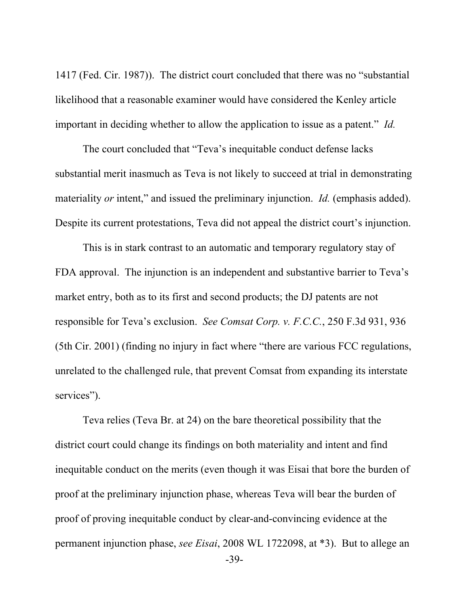1417 (Fed. Cir. 1987)). The district court concluded that there was no "substantial likelihood that a reasonable examiner would have considered the Kenley article important in deciding whether to allow the application to issue as a patent." *Id.*

The court concluded that "Teva's inequitable conduct defense lacks substantial merit inasmuch as Teva is not likely to succeed at trial in demonstrating materiality *or* intent," and issued the preliminary injunction. *Id.* (emphasis added). Despite its current protestations, Teva did not appeal the district court's injunction.

This is in stark contrast to an automatic and temporary regulatory stay of FDA approval. The injunction is an independent and substantive barrier to Teva's market entry, both as to its first and second products; the DJ patents are not responsible for Teva's exclusion. *See Comsat Corp. v. F.C.C.*, 250 F.3d 931, 936 (5th Cir. 2001) (finding no injury in fact where "there are various FCC regulations, unrelated to the challenged rule, that prevent Comsat from expanding its interstate services").

Teva relies (Teva Br. at 24) on the bare theoretical possibility that the district court could change its findings on both materiality and intent and find inequitable conduct on the merits (even though it was Eisai that bore the burden of proof at the preliminary injunction phase, whereas Teva will bear the burden of proof of proving inequitable conduct by clear-and-convincing evidence at the permanent injunction phase, *see Eisai*, 2008 WL 1722098, at \*3). But to allege an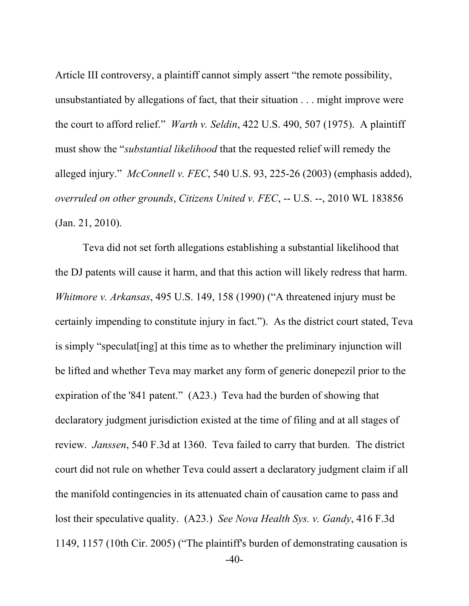Article III controversy, a plaintiff cannot simply assert "the remote possibility, unsubstantiated by allegations of fact, that their situation . . . might improve were the court to afford relief." *Warth v. Seldin*, 422 U.S. 490, 507 (1975). A plaintiff must show the "*substantial likelihood* that the requested relief will remedy the alleged injury." *McConnell v. FEC*, 540 U.S. 93, 225-26 (2003) (emphasis added), *overruled on other grounds*, *Citizens United v. FEC*, -- U.S. --, 2010 WL 183856 (Jan. 21, 2010).

 -40- Teva did not set forth allegations establishing a substantial likelihood that the DJ patents will cause it harm, and that this action will likely redress that harm. *Whitmore v. Arkansas*, 495 U.S. 149, 158 (1990) ("A threatened injury must be certainly impending to constitute injury in fact."). As the district court stated, Teva is simply "speculat[ing] at this time as to whether the preliminary injunction will be lifted and whether Teva may market any form of generic donepezil prior to the expiration of the '841 patent." (A23.) Teva had the burden of showing that declaratory judgment jurisdiction existed at the time of filing and at all stages of review. *Janssen*, 540 F.3d at 1360. Teva failed to carry that burden. The district court did not rule on whether Teva could assert a declaratory judgment claim if all the manifold contingencies in its attenuated chain of causation came to pass and lost their speculative quality. (A23.) *See Nova Health Sys. v. Gandy*, 416 F.3d 1149, 1157 (10th Cir. 2005) ("The plaintiff's burden of demonstrating causation is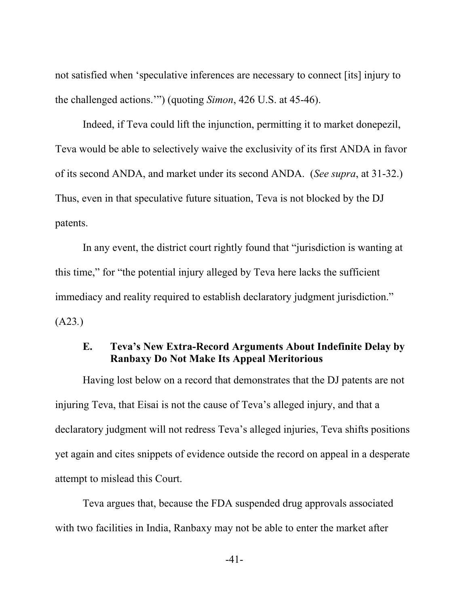not satisfied when 'speculative inferences are necessary to connect [its] injury to the challenged actions.'") (quoting *Simon*, 426 U.S. at 45-46).

Indeed, if Teva could lift the injunction, permitting it to market donepezil, Teva would be able to selectively waive the exclusivity of its first ANDA in favor of its second ANDA, and market under its second ANDA. (*See supra*, at 31-32.) Thus, even in that speculative future situation, Teva is not blocked by the DJ patents.

In any event, the district court rightly found that "jurisdiction is wanting at this time," for "the potential injury alleged by Teva here lacks the sufficient immediacy and reality required to establish declaratory judgment jurisdiction." (A23*.*)

### **E. Teva's New Extra-Record Arguments About Indefinite Delay by Ranbaxy Do Not Make Its Appeal Meritorious**

Having lost below on a record that demonstrates that the DJ patents are not injuring Teva, that Eisai is not the cause of Teva's alleged injury, and that a declaratory judgment will not redress Teva's alleged injuries, Teva shifts positions yet again and cites snippets of evidence outside the record on appeal in a desperate attempt to mislead this Court.

Teva argues that, because the FDA suspended drug approvals associated with two facilities in India, Ranbaxy may not be able to enter the market after

-41-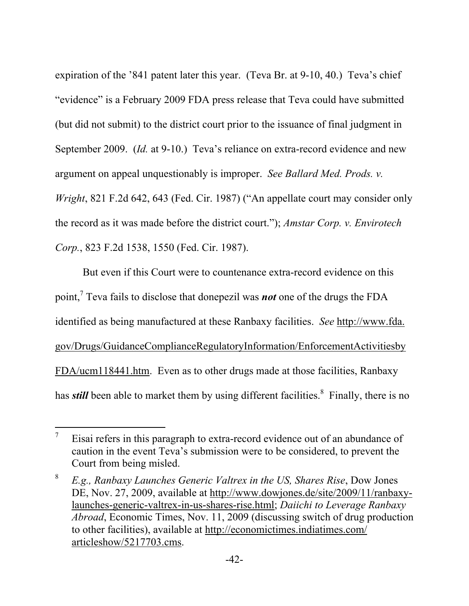expiration of the '841 patent later this year. (Teva Br. at 9-10, 40.) Teva's chief "evidence" is a February 2009 FDA press release that Teva could have submitted (but did not submit) to the district court prior to the issuance of final judgment in September 2009. (*Id.* at 9-10.) Teva's reliance on extra-record evidence and new argument on appeal unquestionably is improper. *See Ballard Med. Prods. v. Wright*, 821 F.2d 642, 643 (Fed. Cir. 1987) ("An appellate court may consider only the record as it was made before the district court."); *Amstar Corp. v. Envirotech Corp.*, 823 F.2d 1538, 1550 (Fed. Cir. 1987).

But even if this Court were to countenance extra-record evidence on this point,7 Teva fails to disclose that donepezil was *not* one of the drugs the FDA identified as being manufactured at these Ranbaxy facilities. *See* http://www.fda. gov/Drugs/GuidanceComplianceRegulatoryInformation/EnforcementActivitiesby FDA/ucm118441.htm. Even as to other drugs made at those facilities, Ranbaxy has *still* been able to market them by using different facilities.<sup>8</sup> Finally, there is no

 $\overline{a}$ 

<sup>7</sup> Eisai refers in this paragraph to extra-record evidence out of an abundance of caution in the event Teva's submission were to be considered, to prevent the Court from being misled.

<sup>8</sup> *E.g., Ranbaxy Launches Generic Valtrex in the US, Shares Rise*, Dow Jones DE, Nov. 27, 2009, available at http://www.dowjones.de/site/2009/11/ranbaxylaunches-generic-valtrex-in-us-shares-rise.html; *Daiichi to Leverage Ranbaxy Abroad*, Economic Times, Nov. 11, 2009 (discussing switch of drug production to other facilities), available at http://economictimes.indiatimes.com/ articleshow/5217703.cms.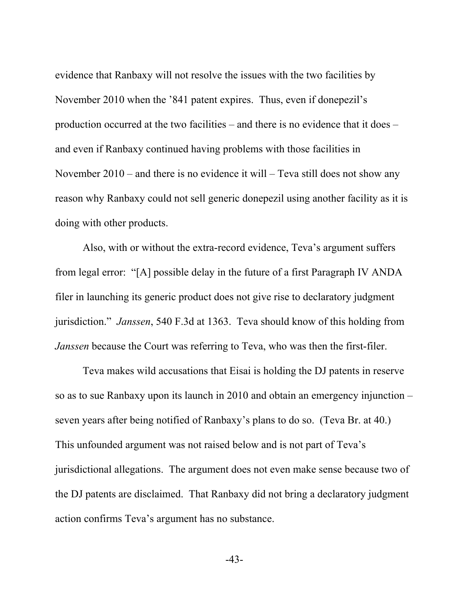evidence that Ranbaxy will not resolve the issues with the two facilities by November 2010 when the '841 patent expires. Thus, even if donepezil's production occurred at the two facilities – and there is no evidence that it does – and even if Ranbaxy continued having problems with those facilities in November 2010 – and there is no evidence it will – Teva still does not show any reason why Ranbaxy could not sell generic donepezil using another facility as it is doing with other products.

Also, with or without the extra-record evidence, Teva's argument suffers from legal error: "[A] possible delay in the future of a first Paragraph IV ANDA filer in launching its generic product does not give rise to declaratory judgment jurisdiction." *Janssen*, 540 F.3d at 1363. Teva should know of this holding from *Janssen* because the Court was referring to Teva, who was then the first-filer.

Teva makes wild accusations that Eisai is holding the DJ patents in reserve so as to sue Ranbaxy upon its launch in 2010 and obtain an emergency injunction – seven years after being notified of Ranbaxy's plans to do so. (Teva Br. at 40.) This unfounded argument was not raised below and is not part of Teva's jurisdictional allegations. The argument does not even make sense because two of the DJ patents are disclaimed. That Ranbaxy did not bring a declaratory judgment action confirms Teva's argument has no substance.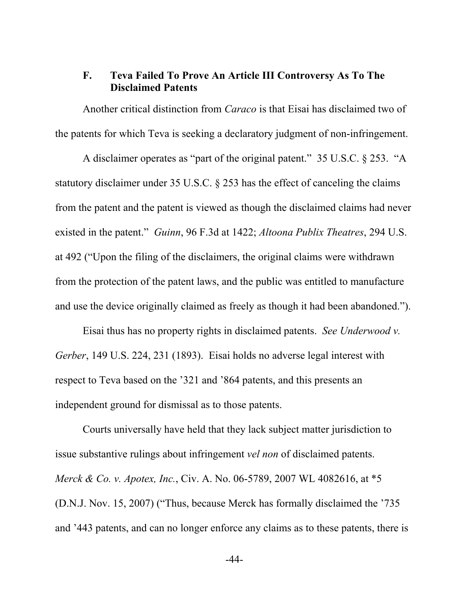### **F. Teva Failed To Prove An Article III Controversy As To The Disclaimed Patents**

Another critical distinction from *Caraco* is that Eisai has disclaimed two of the patents for which Teva is seeking a declaratory judgment of non-infringement.

A disclaimer operates as "part of the original patent." 35 U.S.C. § 253. "A statutory disclaimer under 35 U.S.C. § 253 has the effect of canceling the claims from the patent and the patent is viewed as though the disclaimed claims had never existed in the patent." *Guinn*, 96 F.3d at 1422; *Altoona Publix Theatres*, 294 U.S. at 492 ("Upon the filing of the disclaimers, the original claims were withdrawn from the protection of the patent laws, and the public was entitled to manufacture and use the device originally claimed as freely as though it had been abandoned.").

Eisai thus has no property rights in disclaimed patents. *See Underwood v. Gerber*, 149 U.S. 224, 231 (1893). Eisai holds no adverse legal interest with respect to Teva based on the '321 and '864 patents, and this presents an independent ground for dismissal as to those patents.

Courts universally have held that they lack subject matter jurisdiction to issue substantive rulings about infringement *vel non* of disclaimed patents. *Merck & Co. v. Apotex, Inc.*, Civ. A. No. 06-5789, 2007 WL 4082616, at \*5 (D.N.J. Nov. 15, 2007) ("Thus, because Merck has formally disclaimed the '735 and '443 patents, and can no longer enforce any claims as to these patents, there is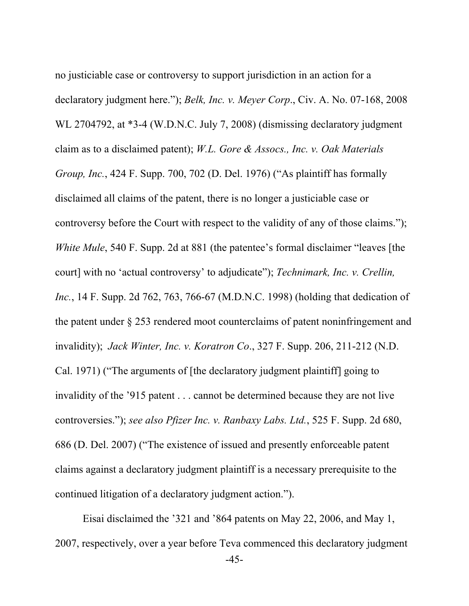no justiciable case or controversy to support jurisdiction in an action for a declaratory judgment here."); *Belk, Inc. v. Meyer Corp*., Civ. A. No. 07-168, 2008 WL 2704792, at \*3-4 (W.D.N.C. July 7, 2008) (dismissing declaratory judgment claim as to a disclaimed patent); *W.L. Gore & Assocs., Inc. v. Oak Materials Group, Inc.*, 424 F. Supp. 700, 702 (D. Del. 1976) ("As plaintiff has formally disclaimed all claims of the patent, there is no longer a justiciable case or controversy before the Court with respect to the validity of any of those claims."); *White Mule*, 540 F. Supp. 2d at 881 (the patentee's formal disclaimer "leaves [the court] with no 'actual controversy' to adjudicate"); *Technimark, Inc. v. Crellin, Inc.*, 14 F. Supp. 2d 762, 763, 766-67 (M.D.N.C. 1998) (holding that dedication of the patent under § 253 rendered moot counterclaims of patent noninfringement and invalidity); *Jack Winter, Inc. v. Koratron Co*., 327 F. Supp. 206, 211-212 (N.D. Cal. 1971) ("The arguments of [the declaratory judgment plaintiff] going to invalidity of the '915 patent . . . cannot be determined because they are not live controversies."); *see also Pfizer Inc. v. Ranbaxy Labs. Ltd.*, 525 F. Supp. 2d 680, 686 (D. Del. 2007) ("The existence of issued and presently enforceable patent claims against a declaratory judgment plaintiff is a necessary prerequisite to the continued litigation of a declaratory judgment action.").

Eisai disclaimed the '321 and '864 patents on May 22, 2006, and May 1, 2007, respectively, over a year before Teva commenced this declaratory judgment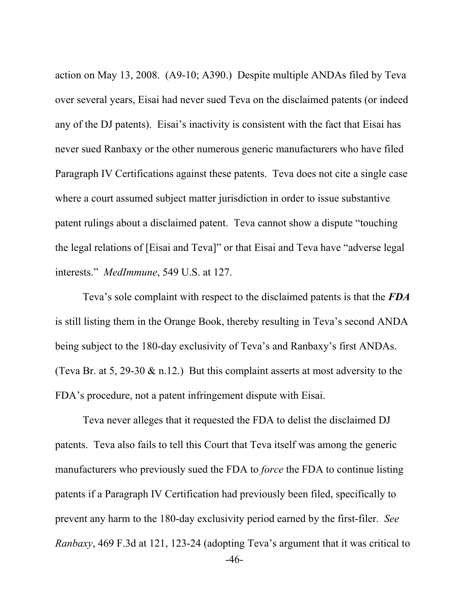action on May 13, 2008. (A9-10; A390.) Despite multiple ANDAs filed by Teva over several years, Eisai had never sued Teva on the disclaimed patents (or indeed any of the DJ patents). Eisai's inactivity is consistent with the fact that Eisai has never sued Ranbaxy or the other numerous generic manufacturers who have filed Paragraph IV Certifications against these patents. Teva does not cite a single case where a court assumed subject matter jurisdiction in order to issue substantive patent rulings about a disclaimed patent. Teva cannot show a dispute "touching the legal relations of [Eisai and Teva]" or that Eisai and Teva have "adverse legal interests." *MedImmune*, 549 U.S. at 127.

Teva's sole complaint with respect to the disclaimed patents is that the *FDA* is still listing them in the Orange Book, thereby resulting in Teva's second ANDA being subject to the 180-day exclusivity of Teva's and Ranbaxy's first ANDAs. (Teva Br. at 5, 29-30  $\&$  n.12.) But this complaint asserts at most adversity to the FDA's procedure, not a patent infringement dispute with Eisai.

 -46- Teva never alleges that it requested the FDA to delist the disclaimed DJ patents. Teva also fails to tell this Court that Teva itself was among the generic manufacturers who previously sued the FDA to *force* the FDA to continue listing patents if a Paragraph IV Certification had previously been filed, specifically to prevent any harm to the 180-day exclusivity period earned by the first-filer. *See Ranbaxy*, 469 F.3d at 121, 123-24 (adopting Teva's argument that it was critical to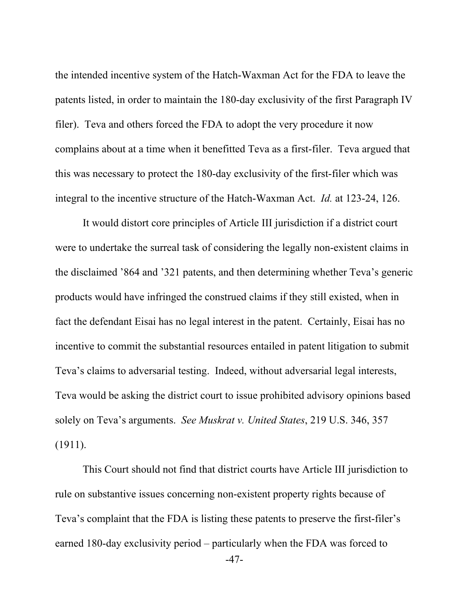the intended incentive system of the Hatch-Waxman Act for the FDA to leave the patents listed, in order to maintain the 180-day exclusivity of the first Paragraph IV filer). Teva and others forced the FDA to adopt the very procedure it now complains about at a time when it benefitted Teva as a first-filer. Teva argued that this was necessary to protect the 180-day exclusivity of the first-filer which was integral to the incentive structure of the Hatch-Waxman Act. *Id.* at 123-24, 126.

It would distort core principles of Article III jurisdiction if a district court were to undertake the surreal task of considering the legally non-existent claims in the disclaimed '864 and '321 patents, and then determining whether Teva's generic products would have infringed the construed claims if they still existed, when in fact the defendant Eisai has no legal interest in the patent. Certainly, Eisai has no incentive to commit the substantial resources entailed in patent litigation to submit Teva's claims to adversarial testing. Indeed, without adversarial legal interests, Teva would be asking the district court to issue prohibited advisory opinions based solely on Teva's arguments. *See Muskrat v. United States*, 219 U.S. 346, 357 (1911).

 -47- This Court should not find that district courts have Article III jurisdiction to rule on substantive issues concerning non-existent property rights because of Teva's complaint that the FDA is listing these patents to preserve the first-filer's earned 180-day exclusivity period – particularly when the FDA was forced to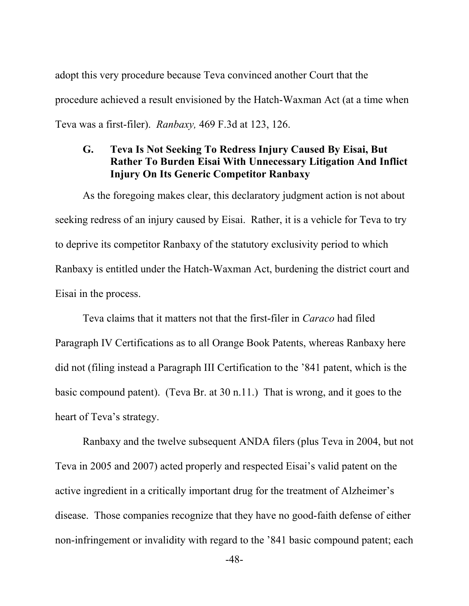adopt this very procedure because Teva convinced another Court that the procedure achieved a result envisioned by the Hatch-Waxman Act (at a time when Teva was a first-filer). *Ranbaxy,* 469 F.3d at 123, 126.

## **G. Teva Is Not Seeking To Redress Injury Caused By Eisai, But Rather To Burden Eisai With Unnecessary Litigation And Inflict Injury On Its Generic Competitor Ranbaxy**

As the foregoing makes clear, this declaratory judgment action is not about seeking redress of an injury caused by Eisai. Rather, it is a vehicle for Teva to try to deprive its competitor Ranbaxy of the statutory exclusivity period to which Ranbaxy is entitled under the Hatch-Waxman Act, burdening the district court and Eisai in the process.

Teva claims that it matters not that the first-filer in *Caraco* had filed Paragraph IV Certifications as to all Orange Book Patents, whereas Ranbaxy here did not (filing instead a Paragraph III Certification to the '841 patent, which is the basic compound patent). (Teva Br. at 30 n.11.) That is wrong, and it goes to the heart of Teva's strategy.

Ranbaxy and the twelve subsequent ANDA filers (plus Teva in 2004, but not Teva in 2005 and 2007) acted properly and respected Eisai's valid patent on the active ingredient in a critically important drug for the treatment of Alzheimer's disease. Those companies recognize that they have no good-faith defense of either non-infringement or invalidity with regard to the '841 basic compound patent; each

-48-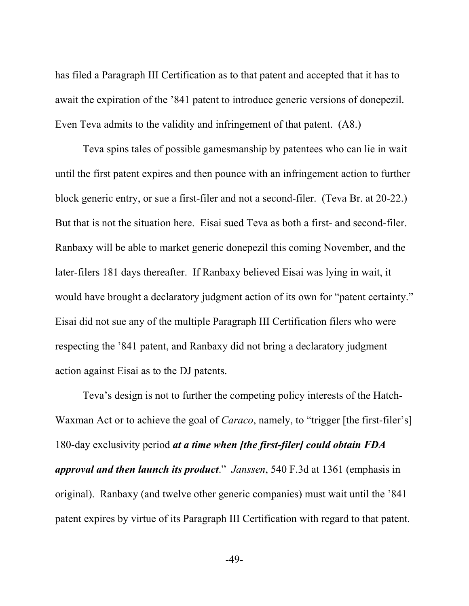has filed a Paragraph III Certification as to that patent and accepted that it has to await the expiration of the '841 patent to introduce generic versions of donepezil. Even Teva admits to the validity and infringement of that patent. (A8.)

Teva spins tales of possible gamesmanship by patentees who can lie in wait until the first patent expires and then pounce with an infringement action to further block generic entry, or sue a first-filer and not a second-filer. (Teva Br. at 20-22.) But that is not the situation here. Eisai sued Teva as both a first- and second-filer. Ranbaxy will be able to market generic donepezil this coming November, and the later-filers 181 days thereafter. If Ranbaxy believed Eisai was lying in wait, it would have brought a declaratory judgment action of its own for "patent certainty." Eisai did not sue any of the multiple Paragraph III Certification filers who were respecting the '841 patent, and Ranbaxy did not bring a declaratory judgment action against Eisai as to the DJ patents.

Teva's design is not to further the competing policy interests of the Hatch-Waxman Act or to achieve the goal of *Caraco*, namely, to "trigger [the first-filer's] 180-day exclusivity period *at a time when [the first-filer] could obtain FDA approval and then launch its product*." *Janssen*, 540 F.3d at 1361 (emphasis in original). Ranbaxy (and twelve other generic companies) must wait until the '841 patent expires by virtue of its Paragraph III Certification with regard to that patent.

-49-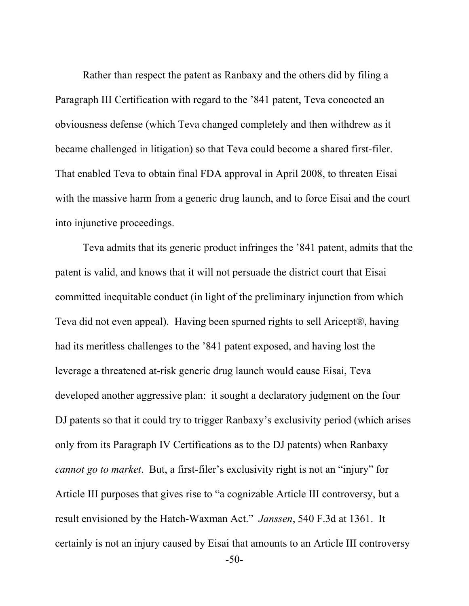Rather than respect the patent as Ranbaxy and the others did by filing a Paragraph III Certification with regard to the '841 patent, Teva concocted an obviousness defense (which Teva changed completely and then withdrew as it became challenged in litigation) so that Teva could become a shared first-filer. That enabled Teva to obtain final FDA approval in April 2008, to threaten Eisai with the massive harm from a generic drug launch, and to force Eisai and the court into injunctive proceedings.

Teva admits that its generic product infringes the '841 patent, admits that the patent is valid, and knows that it will not persuade the district court that Eisai committed inequitable conduct (in light of the preliminary injunction from which Teva did not even appeal). Having been spurned rights to sell Aricept®, having had its meritless challenges to the '841 patent exposed, and having lost the leverage a threatened at-risk generic drug launch would cause Eisai, Teva developed another aggressive plan: it sought a declaratory judgment on the four DJ patents so that it could try to trigger Ranbaxy's exclusivity period (which arises only from its Paragraph IV Certifications as to the DJ patents) when Ranbaxy *cannot go to market*. But, a first-filer's exclusivity right is not an "injury" for Article III purposes that gives rise to "a cognizable Article III controversy, but a result envisioned by the Hatch-Waxman Act." *Janssen*, 540 F.3d at 1361. It certainly is not an injury caused by Eisai that amounts to an Article III controversy

-50-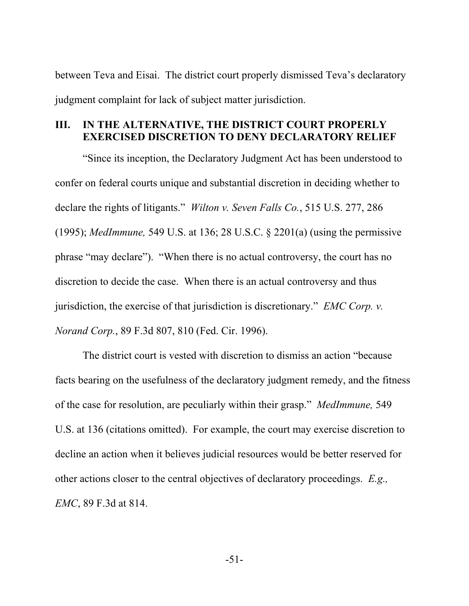between Teva and Eisai. The district court properly dismissed Teva's declaratory judgment complaint for lack of subject matter jurisdiction.

### **III. IN THE ALTERNATIVE, THE DISTRICT COURT PROPERLY EXERCISED DISCRETION TO DENY DECLARATORY RELIEF**

"Since its inception, the Declaratory Judgment Act has been understood to confer on federal courts unique and substantial discretion in deciding whether to declare the rights of litigants." *Wilton v. Seven Falls Co.*, 515 U.S. 277, 286 (1995); *MedImmune,* 549 U.S. at 136; 28 U.S.C. § 2201(a) (using the permissive phrase "may declare"). "When there is no actual controversy, the court has no discretion to decide the case. When there is an actual controversy and thus jurisdiction, the exercise of that jurisdiction is discretionary." *EMC Corp. v. Norand Corp.*, 89 F.3d 807, 810 (Fed. Cir. 1996).

The district court is vested with discretion to dismiss an action "because facts bearing on the usefulness of the declaratory judgment remedy, and the fitness of the case for resolution, are peculiarly within their grasp." *MedImmune,* 549 U.S. at 136 (citations omitted). For example, the court may exercise discretion to decline an action when it believes judicial resources would be better reserved for other actions closer to the central objectives of declaratory proceedings. *E.g., EMC*, 89 F.3d at 814.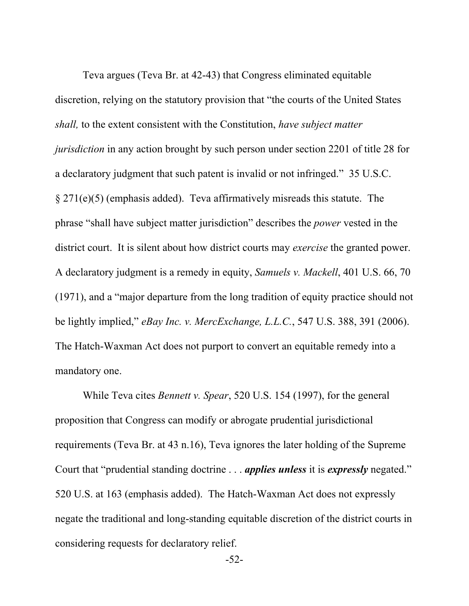Teva argues (Teva Br. at 42-43) that Congress eliminated equitable discretion, relying on the statutory provision that "the courts of the United States *shall,* to the extent consistent with the Constitution, *have subject matter jurisdiction* in any action brought by such person under section 2201 of title 28 for a declaratory judgment that such patent is invalid or not infringed." 35 U.S.C. § 271(e)(5) (emphasis added). Teva affirmatively misreads this statute. The phrase "shall have subject matter jurisdiction" describes the *power* vested in the district court. It is silent about how district courts may *exercise* the granted power. A declaratory judgment is a remedy in equity, *Samuels v. Mackell*, 401 U.S. 66, 70 (1971), and a "major departure from the long tradition of equity practice should not be lightly implied," *eBay Inc. v. MercExchange, L.L.C.*, 547 U.S. 388, 391 (2006). The Hatch-Waxman Act does not purport to convert an equitable remedy into a mandatory one.

While Teva cites *Bennett v. Spear*, 520 U.S. 154 (1997), for the general proposition that Congress can modify or abrogate prudential jurisdictional requirements (Teva Br. at 43 n.16), Teva ignores the later holding of the Supreme Court that "prudential standing doctrine . . . *applies unless* it is *expressly* negated." 520 U.S. at 163 (emphasis added). The Hatch-Waxman Act does not expressly negate the traditional and long-standing equitable discretion of the district courts in considering requests for declaratory relief.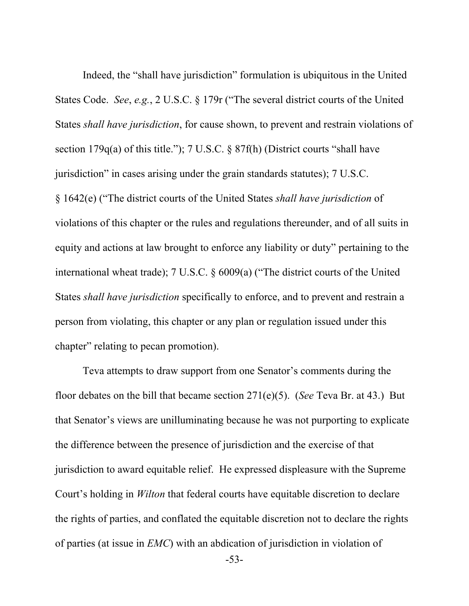Indeed, the "shall have jurisdiction" formulation is ubiquitous in the United States Code. *See*, *e.g.*, 2 U.S.C. § 179r ("The several district courts of the United States *shall have jurisdiction*, for cause shown, to prevent and restrain violations of section 179q(a) of this title."); 7 U.S.C. § 87f(h) (District courts "shall have jurisdiction" in cases arising under the grain standards statutes); 7 U.S.C. § 1642(e) ("The district courts of the United States *shall have jurisdiction* of violations of this chapter or the rules and regulations thereunder, and of all suits in equity and actions at law brought to enforce any liability or duty" pertaining to the international wheat trade); 7 U.S.C. § 6009(a) ("The district courts of the United States *shall have jurisdiction* specifically to enforce, and to prevent and restrain a person from violating, this chapter or any plan or regulation issued under this chapter" relating to pecan promotion).

Teva attempts to draw support from one Senator's comments during the floor debates on the bill that became section 271(e)(5). (*See* Teva Br. at 43.) But that Senator's views are unilluminating because he was not purporting to explicate the difference between the presence of jurisdiction and the exercise of that jurisdiction to award equitable relief. He expressed displeasure with the Supreme Court's holding in *Wilton* that federal courts have equitable discretion to declare the rights of parties, and conflated the equitable discretion not to declare the rights of parties (at issue in *EMC*) with an abdication of jurisdiction in violation of

-53-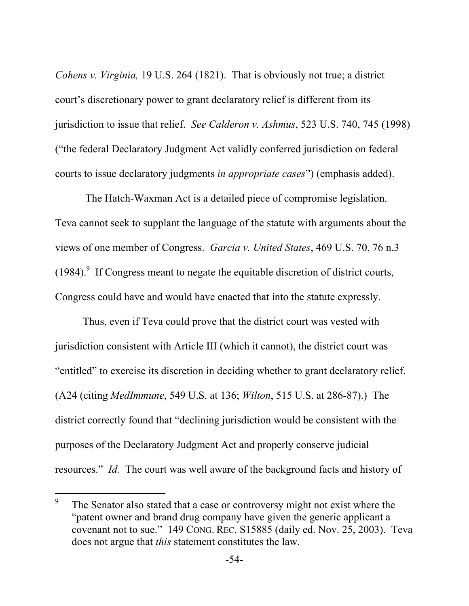*Cohens v. Virginia,* 19 U.S. 264 (1821). That is obviously not true; a district court's discretionary power to grant declaratory relief is different from its jurisdiction to issue that relief. *See Calderon v. Ashmus*, 523 U.S. 740, 745 (1998) ("the federal Declaratory Judgment Act validly conferred jurisdiction on federal courts to issue declaratory judgments *in appropriate cases*") (emphasis added).

 The Hatch-Waxman Act is a detailed piece of compromise legislation. Teva cannot seek to supplant the language of the statute with arguments about the views of one member of Congress. *Garcia v. United States*, 469 U.S. 70, 76 n.3  $(1984)$ . If Congress meant to negate the equitable discretion of district courts, Congress could have and would have enacted that into the statute expressly.

Thus, even if Teva could prove that the district court was vested with jurisdiction consistent with Article III (which it cannot), the district court was "entitled" to exercise its discretion in deciding whether to grant declaratory relief. (A24 (citing *MedImmune*, 549 U.S. at 136; *Wilton*, 515 U.S. at 286-87).) The district correctly found that "declining jurisdiction would be consistent with the purposes of the Declaratory Judgment Act and properly conserve judicial resources." *Id.* The court was well aware of the background facts and history of

 $\overline{a}$ 

<sup>9</sup> The Senator also stated that a case or controversy might not exist where the "patent owner and brand drug company have given the generic applicant a covenant not to sue." 149 CONG. REC. S15885 (daily ed. Nov. 25, 2003). Teva does not argue that *this* statement constitutes the law.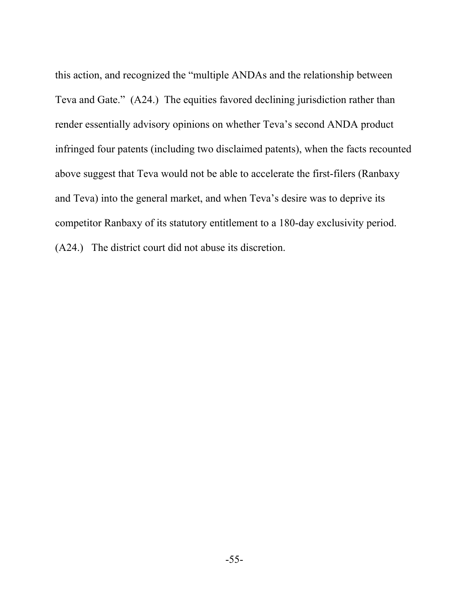this action, and recognized the "multiple ANDAs and the relationship between Teva and Gate." (A24.) The equities favored declining jurisdiction rather than render essentially advisory opinions on whether Teva's second ANDA product infringed four patents (including two disclaimed patents), when the facts recounted above suggest that Teva would not be able to accelerate the first-filers (Ranbaxy and Teva) into the general market, and when Teva's desire was to deprive its competitor Ranbaxy of its statutory entitlement to a 180-day exclusivity period. (A24.) The district court did not abuse its discretion.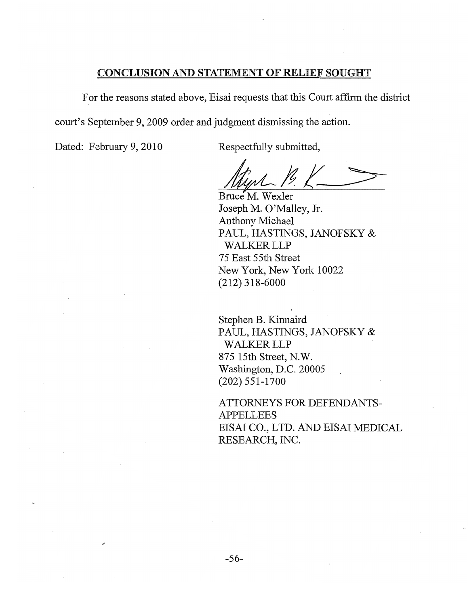### **CONCLUSION AND STATEMENT OF RELIEF SOUGHT**

For the reasons stated above, Eisai requests that this Court affirm the district court's September 9, 2009 order and judgment dismissing the action.

Dated: February 9, 2010

Respectfully submitted,

Bruce M. Wexler Joseph M. O'Malley, Jr. **Anthony Michael** PAUL, HASTINGS, JANOFSKY & **WALKER LLP** 75 East 55th Street New York, New York 10022  $(212)$  318-6000

Stephen B. Kinnaird PAUL, HASTINGS, JANOFSKY & **WALKER LLP** 875 15th Street, N.W. Washington, D.C. 20005  $(202) 551 - 1700$ 

ATTORNEYS FOR DEFENDANTS-**APPELLEES** EISAI CO., LTD. AND EISAI MEDICAL RESEARCH, INC.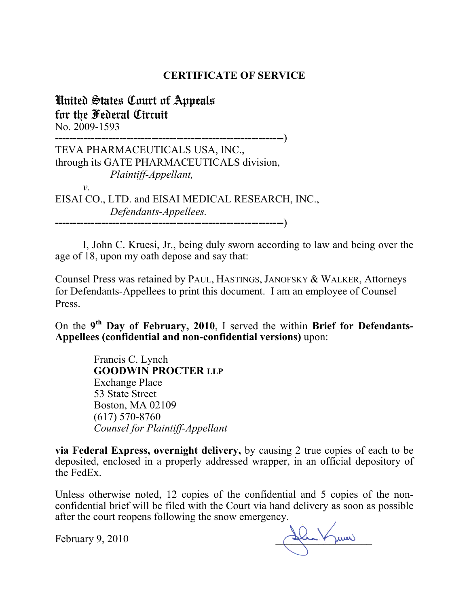### **CERTIFICATE OF SERVICE**

United States Court of Appeals for the Federal Circuit No. 2009-1593

**----------------------------------------------------------------**) TEVA PHARMACEUTICALS USA, INC., through its GATE PHARMACEUTICALS division, *Plaintiff-Appellant, v.*  EISAI CO., LTD. and EISAI MEDICAL RESEARCH, INC., *Defendants-Appellees.*  **----------------------------------------------------------------**)

I, John C. Kruesi, Jr., being duly sworn according to law and being over the age of 18, upon my oath depose and say that:

Counsel Press was retained by PAUL, HASTINGS, JANOFSKY & WALKER, Attorneys for Defendants-Appellees to print this document. I am an employee of Counsel Press.

On the **9th Day of February, 2010**, I served the within **Brief for Defendants-Appellees (confidential and non-confidential versions)** upon:

> Francis C. Lynch **GOODWIN PROCTER LLP** Exchange Place 53 State Street Boston, MA 02109 (617) 570-8760 *Counsel for Plaintiff-Appellant*

**via Federal Express, overnight delivery,** by causing 2 true copies of each to be deposited, enclosed in a properly addressed wrapper, in an official depository of the FedEx.

Unless otherwise noted, 12 copies of the confidential and 5 copies of the nonconfidential brief will be filed with the Court via hand delivery as soon as possible after the court reopens following the snow emergency.

February 9, 2010